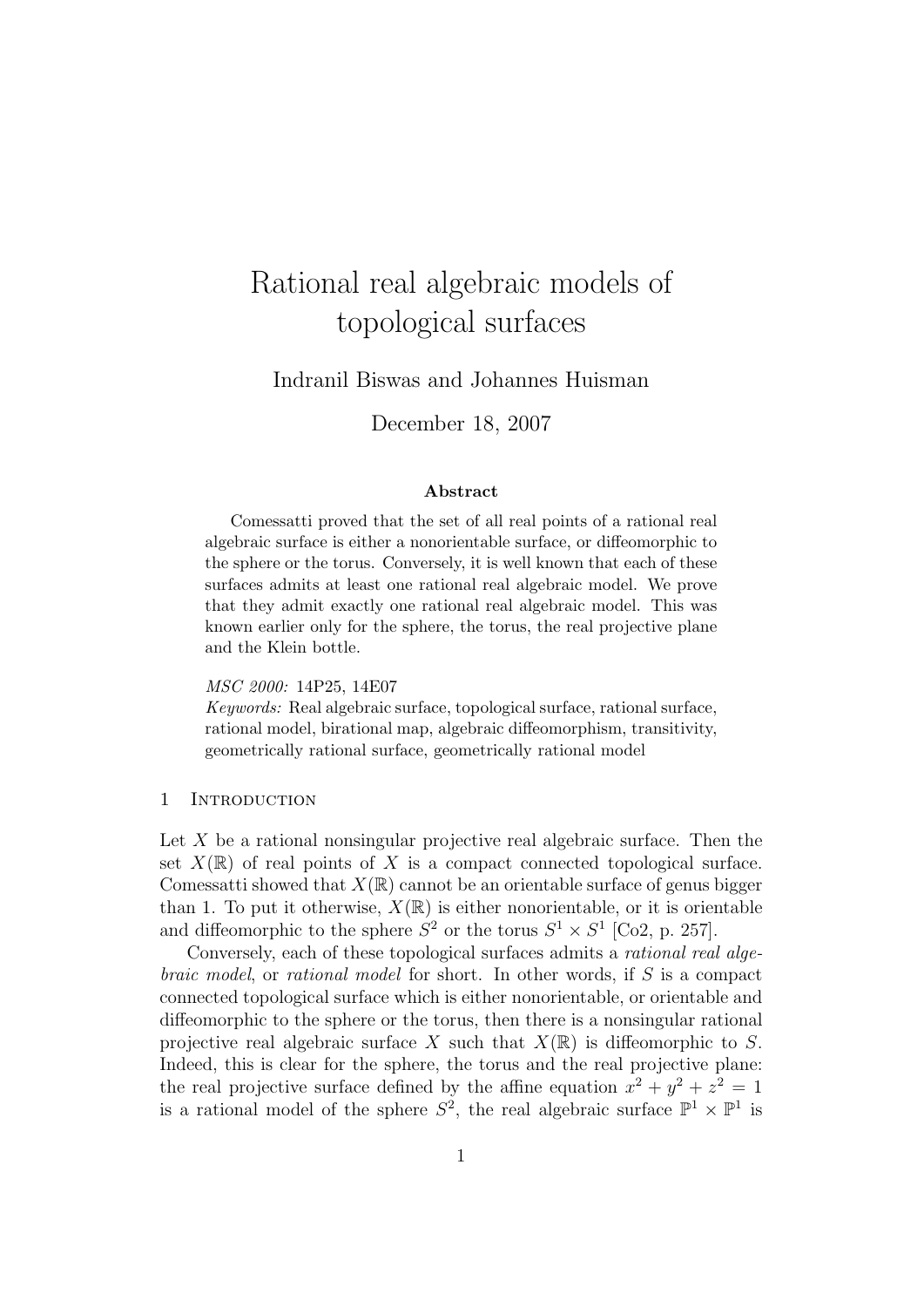# Rational real algebraic models of topological surfaces

# Indranil Biswas and Johannes Huisman

December 18, 2007

## Abstract

Comessatti proved that the set of all real points of a rational real algebraic surface is either a nonorientable surface, or diffeomorphic to the sphere or the torus. Conversely, it is well known that each of these surfaces admits at least one rational real algebraic model. We prove that they admit exactly one rational real algebraic model. This was known earlier only for the sphere, the torus, the real projective plane and the Klein bottle.

# MSC 2000: 14P25, 14E07

Keywords: Real algebraic surface, topological surface, rational surface, rational model, birational map, algebraic diffeomorphism, transitivity, geometrically rational surface, geometrically rational model

# 1 Introduction

Let  $X$  be a rational nonsingular projective real algebraic surface. Then the set  $X(\mathbb{R})$  of real points of X is a compact connected topological surface. Comessatti showed that  $X(\mathbb{R})$  cannot be an orientable surface of genus bigger than 1. To put it otherwise,  $X(\mathbb{R})$  is either nonorientable, or it is orientable and diffeomorphic to the sphere  $S^2$  or the torus  $S^1 \times S^1$  [Co2, p. 257].

Conversely, each of these topological surfaces admits a rational real algebraic model, or rational model for short. In other words, if S is a compact connected topological surface which is either nonorientable, or orientable and diffeomorphic to the sphere or the torus, then there is a nonsingular rational projective real algebraic surface X such that  $X(\mathbb{R})$  is diffeomorphic to S. Indeed, this is clear for the sphere, the torus and the real projective plane: the real projective surface defined by the affine equation  $x^2 + y^2 + z^2 = 1$ is a rational model of the sphere  $S^2$ , the real algebraic surface  $\mathbb{P}^1 \times \mathbb{P}^1$  is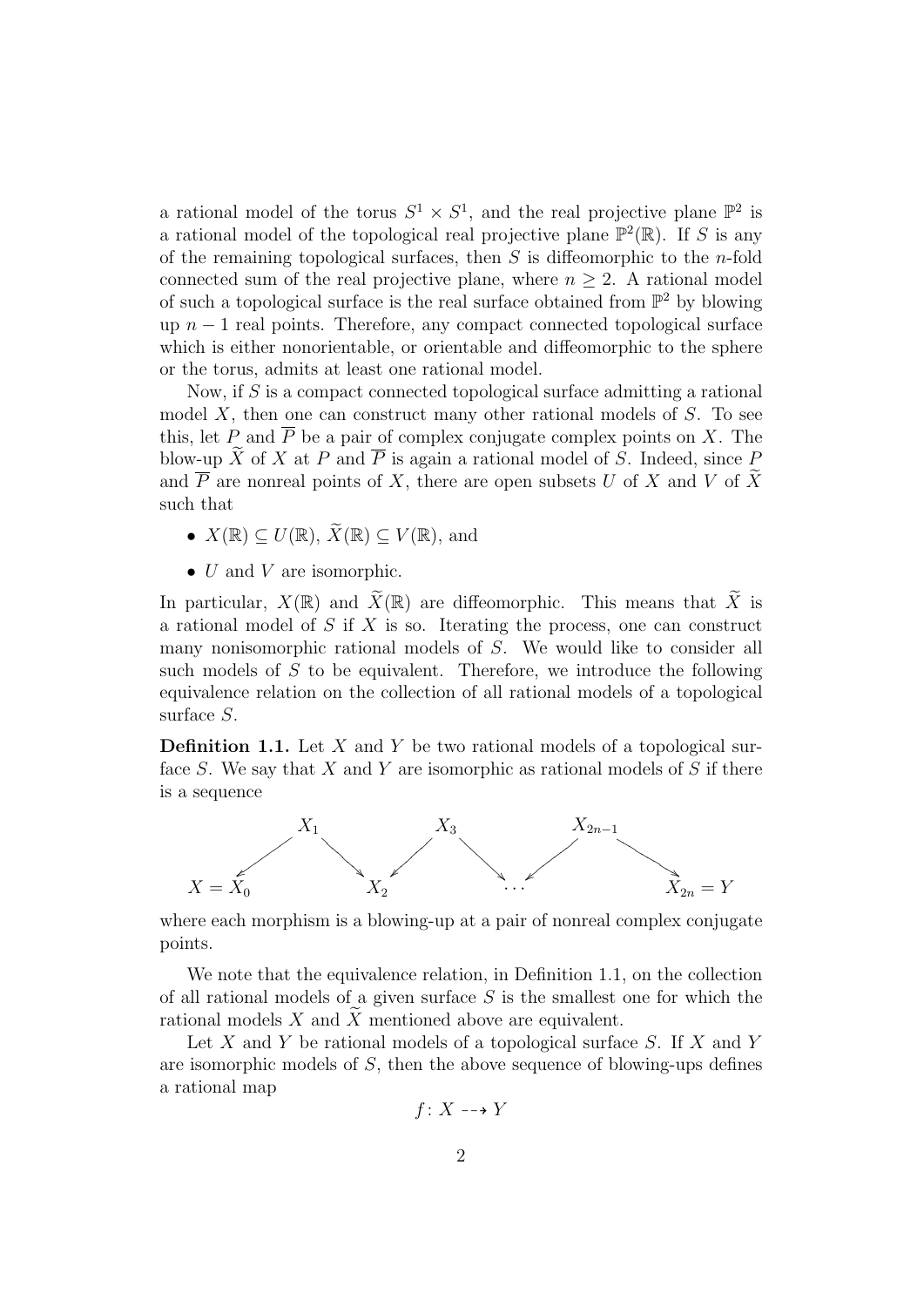a rational model of the torus  $S^1 \times S^1$ , and the real projective plane  $\mathbb{P}^2$  is a rational model of the topological real projective plane  $\mathbb{P}^2(\mathbb{R})$ . If S is any of the remaining topological surfaces, then  $S$  is diffeomorphic to the *n*-fold connected sum of the real projective plane, where  $n \geq 2$ . A rational model of such a topological surface is the real surface obtained from  $\mathbb{P}^2$  by blowing up  $n-1$  real points. Therefore, any compact connected topological surface which is either nonorientable, or orientable and diffeomorphic to the sphere or the torus, admits at least one rational model.

Now, if  $S$  is a compact connected topological surface admitting a rational model  $X$ , then one can construct many other rational models of  $S$ . To see this, let P and  $\overline{P}$  be a pair of complex conjugate complex points on X. The blow-up  $\widetilde{X}$  of X at P and  $\overline{P}$  is again a rational model of S. Indeed, since P and  $\overline{P}$  are nonreal points of X, there are open subsets U of X and V of X such that

- $X(\mathbb{R}) \subset U(\mathbb{R})$ ,  $\widetilde{X}(\mathbb{R}) \subset V(\mathbb{R})$ , and
- $\bullet$  U and V are isomorphic.

In particular,  $X(\mathbb{R})$  and  $\widetilde{X}(\mathbb{R})$  are diffeomorphic. This means that  $\widetilde{X}$  is a rational model of  $S$  if  $X$  is so. Iterating the process, one can construct many nonisomorphic rational models of S. We would like to consider all such models of S to be equivalent. Therefore, we introduce the following equivalence relation on the collection of all rational models of a topological surface S.

**Definition 1.1.** Let  $X$  and  $Y$  be two rational models of a topological surface S. We say that X and Y are isomorphic as rational models of S if there is a sequence



where each morphism is a blowing-up at a pair of nonreal complex conjugate points.

We note that the equivalence relation, in Definition 1.1, on the collection of all rational models of a given surface  $S$  is the smallest one for which the rational models X and  $\widetilde{X}$  mentioned above are equivalent.

Let  $X$  and  $Y$  be rational models of a topological surface  $S$ . If  $X$  and  $Y$ are isomorphic models of S, then the above sequence of blowing-ups defines a rational map

$$
f\colon X\dashrightarrow Y
$$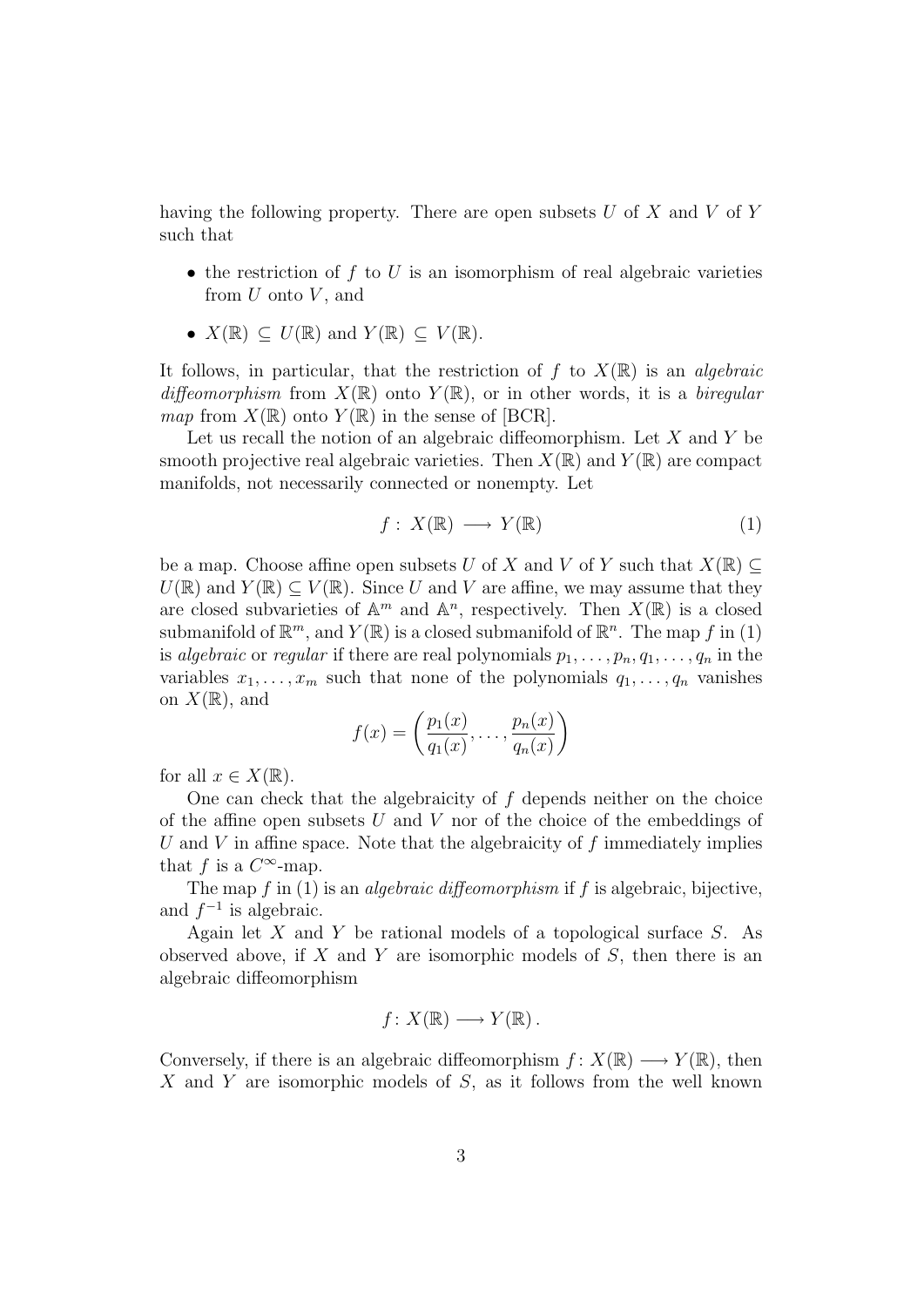having the following property. There are open subsets  $U$  of  $X$  and  $V$  of  $Y$ such that

- the restriction of  $f$  to  $U$  is an isomorphism of real algebraic varieties from  $U$  onto  $V$ , and
- $X(\mathbb{R}) \subset U(\mathbb{R})$  and  $Y(\mathbb{R}) \subset V(\mathbb{R})$ .

It follows, in particular, that the restriction of f to  $X(\mathbb{R})$  is an *algebraic* diffeomorphism from  $X(\mathbb{R})$  onto  $Y(\mathbb{R})$ , or in other words, it is a biregular map from  $X(\mathbb{R})$  onto  $Y(\mathbb{R})$  in the sense of [BCR].

Let us recall the notion of an algebraic diffeomorphism. Let  $X$  and  $Y$  be smooth projective real algebraic varieties. Then  $X(\mathbb{R})$  and  $Y(\mathbb{R})$  are compact manifolds, not necessarily connected or nonempty. Let

$$
f: X(\mathbb{R}) \longrightarrow Y(\mathbb{R})
$$
 (1)

be a map. Choose affine open subsets U of X and V of Y such that  $X(\mathbb{R}) \subseteq$  $U(\mathbb{R})$  and  $Y(\mathbb{R}) \subset V(\mathbb{R})$ . Since U and V are affine, we may assume that they are closed subvarieties of  $\mathbb{A}^m$  and  $\mathbb{A}^n$ , respectively. Then  $X(\mathbb{R})$  is a closed submanifold of  $\mathbb{R}^m$ , and  $Y(\mathbb{R})$  is a closed submanifold of  $\mathbb{R}^n$ . The map f in (1) is algebraic or regular if there are real polynomials  $p_1, \ldots, p_n, q_1, \ldots, q_n$  in the variables  $x_1, \ldots, x_m$  such that none of the polynomials  $q_1, \ldots, q_n$  vanishes on  $X(\mathbb{R})$ , and

$$
f(x) = \left(\frac{p_1(x)}{q_1(x)}, \dots, \frac{p_n(x)}{q_n(x)}\right)
$$

for all  $x \in X(\mathbb{R})$ .

One can check that the algebraicity of  $f$  depends neither on the choice of the affine open subsets  $U$  and  $V$  nor of the choice of the embeddings of U and V in affine space. Note that the algebraicity of f immediately implies that f is a  $C^{\infty}$ -map.

The map  $f$  in (1) is an *algebraic diffeomorphism* if  $f$  is algebraic, bijective, and  $f^{-1}$  is algebraic.

Again let  $X$  and  $Y$  be rational models of a topological surface  $S$ . As observed above, if  $X$  and  $Y$  are isomorphic models of  $S$ , then there is an algebraic diffeomorphism

$$
f\colon X(\mathbb{R})\longrightarrow Y(\mathbb{R}).
$$

Conversely, if there is an algebraic diffeomorphism  $f: X(\mathbb{R}) \longrightarrow Y(\mathbb{R})$ , then X and Y are isomorphic models of  $S$ , as it follows from the well known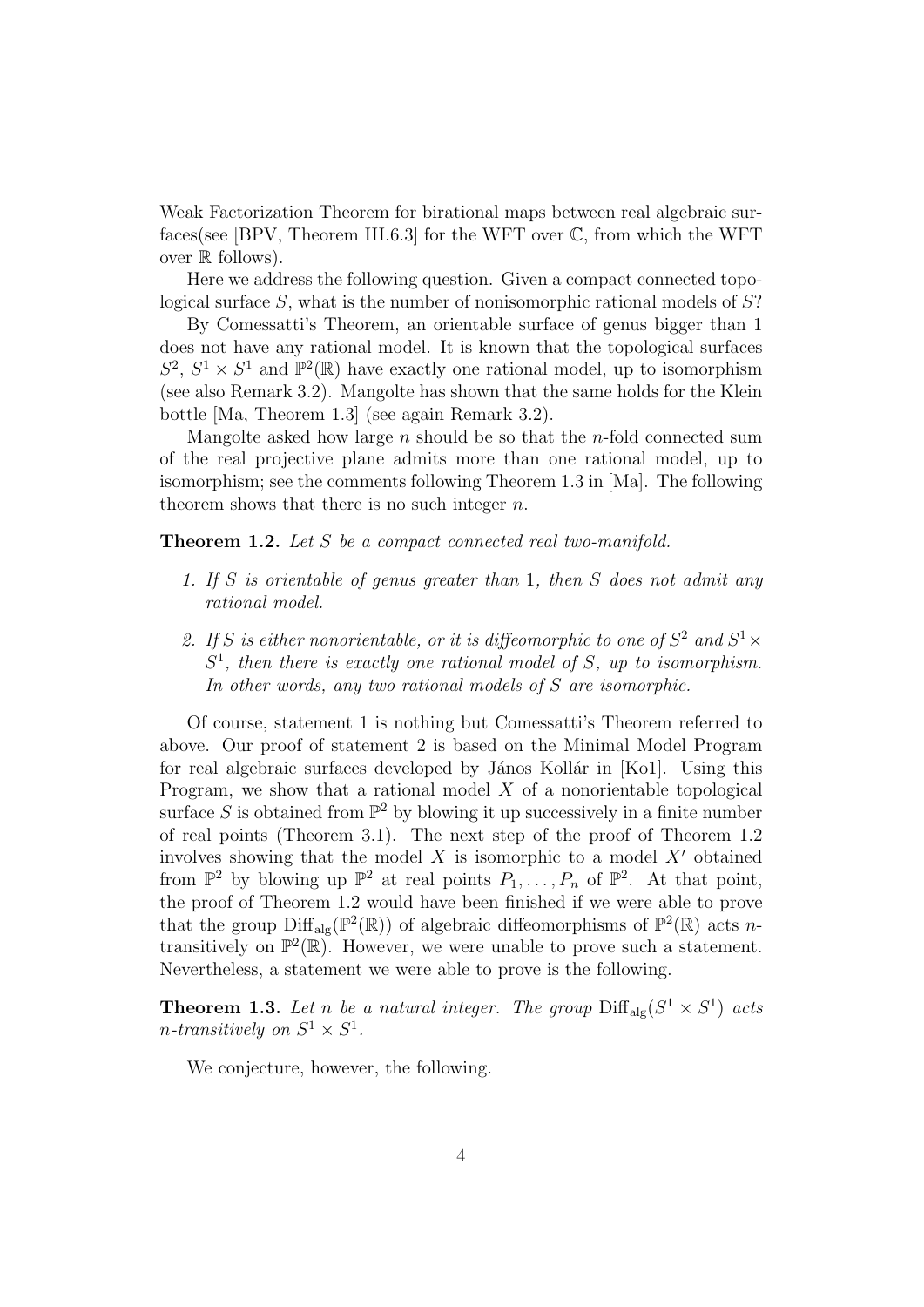Weak Factorization Theorem for birational maps between real algebraic surfaces(see [BPV, Theorem III.6.3] for the WFT over C, from which the WFT over R follows).

Here we address the following question. Given a compact connected topological surface S, what is the number of nonisomorphic rational models of S?

By Comessatti's Theorem, an orientable surface of genus bigger than 1 does not have any rational model. It is known that the topological surfaces  $S^2$ ,  $S^1 \times S^1$  and  $\mathbb{P}^2(\mathbb{R})$  have exactly one rational model, up to isomorphism (see also Remark 3.2). Mangolte has shown that the same holds for the Klein bottle [Ma, Theorem 1.3] (see again Remark 3.2).

Mangolte asked how large  $n$  should be so that the  $n$ -fold connected sum of the real projective plane admits more than one rational model, up to isomorphism; see the comments following Theorem 1.3 in [Ma]. The following theorem shows that there is no such integer  $n$ .

Theorem 1.2. Let S be a compact connected real two-manifold.

- 1. If S is orientable of genus greater than 1, then S does not admit any rational model.
- 2. If S is either nonorientable, or it is diffeomorphic to one of  $S^2$  and  $S^1 \times$  $S<sup>1</sup>$ , then there is exactly one rational model of S, up to isomorphism. In other words, any two rational models of S are isomorphic.

Of course, statement 1 is nothing but Comessatti's Theorem referred to above. Our proof of statement 2 is based on the Minimal Model Program for real algebraic surfaces developed by János Kollár in [Ko1]. Using this Program, we show that a rational model  $X$  of a nonorientable topological surface S is obtained from  $\mathbb{P}^2$  by blowing it up successively in a finite number of real points (Theorem 3.1). The next step of the proof of Theorem 1.2 involves showing that the model  $X$  is isomorphic to a model  $X'$  obtained from  $\mathbb{P}^2$  by blowing up  $\mathbb{P}^2$  at real points  $P_1, \ldots, P_n$  of  $\mathbb{P}^2$ . At that point, the proof of Theorem 1.2 would have been finished if we were able to prove that the group  $\text{Diff}_{\text{alg}}(\mathbb{P}^2(\mathbb{R}))$  of algebraic diffeomorphisms of  $\mathbb{P}^2(\mathbb{R})$  acts ntransitively on  $\mathbb{P}^2(\mathbb{R})$ . However, we were unable to prove such a statement. Nevertheless, a statement we were able to prove is the following.

**Theorem 1.3.** Let n be a natural integer. The group  $\text{Diff}_{\text{alg}}(S^1 \times S^1)$  acts *n*-transitively on  $S^1 \times S^1$ .

We conjecture, however, the following.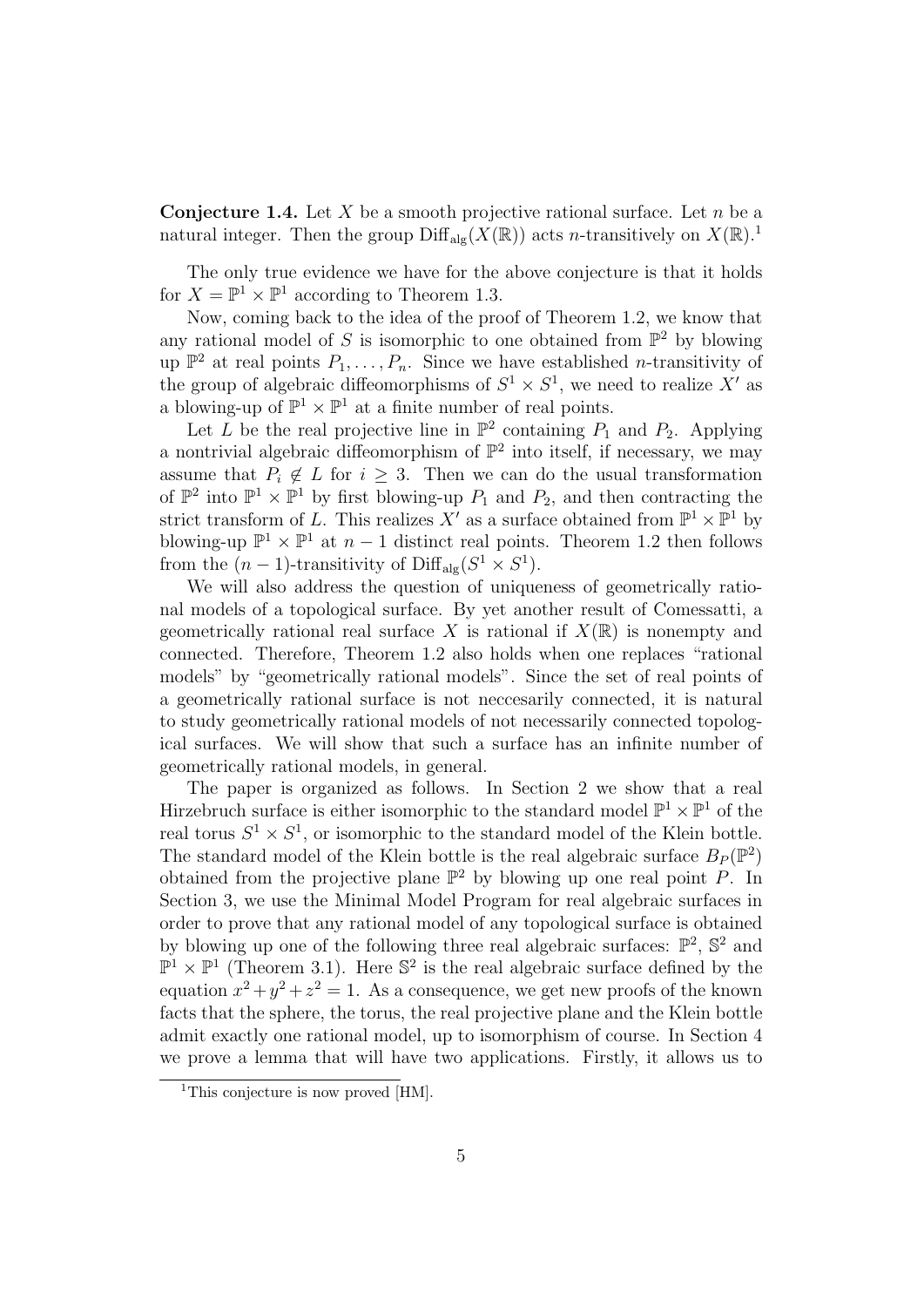**Conjecture 1.4.** Let X be a smooth projective rational surface. Let n be a natural integer. Then the group  $\text{Diff}_{\text{alg}}(X(\mathbb{R}))$  acts n-transitively on  $X(\mathbb{R})$ .

The only true evidence we have for the above conjecture is that it holds for  $X = \mathbb{P}^1 \times \mathbb{P}^1$  according to Theorem 1.3.

Now, coming back to the idea of the proof of Theorem 1.2, we know that any rational model of S is isomorphic to one obtained from  $\mathbb{P}^2$  by blowing up  $\mathbb{P}^2$  at real points  $P_1, \ldots, P_n$ . Since we have established *n*-transitivity of the group of algebraic diffeomorphisms of  $S^1 \times S^1$ , we need to realize X' as a blowing-up of  $\mathbb{P}^1 \times \mathbb{P}^1$  at a finite number of real points.

Let L be the real projective line in  $\mathbb{P}^2$  containing  $P_1$  and  $P_2$ . Applying a nontrivial algebraic diffeomorphism of  $\mathbb{P}^2$  into itself, if necessary, we may assume that  $P_i \notin L$  for  $i \geq 3$ . Then we can do the usual transformation of  $\mathbb{P}^2$  into  $\mathbb{P}^1 \times \mathbb{P}^1$  by first blowing-up  $P_1$  and  $P_2$ , and then contracting the strict transform of L. This realizes  $X'$  as a surface obtained from  $\mathbb{P}^1 \times \mathbb{P}^1$  by blowing-up  $\mathbb{P}^1 \times \mathbb{P}^1$  at  $n-1$  distinct real points. Theorem 1.2 then follows from the  $(n-1)$ -transitivity of  $\text{Diff}_{\text{alg}}(S^1 \times S^1)$ .

We will also address the question of uniqueness of geometrically rational models of a topological surface. By yet another result of Comessatti, a geometrically rational real surface X is rational if  $X(\mathbb{R})$  is nonempty and connected. Therefore, Theorem 1.2 also holds when one replaces "rational models" by "geometrically rational models". Since the set of real points of a geometrically rational surface is not neccesarily connected, it is natural to study geometrically rational models of not necessarily connected topological surfaces. We will show that such a surface has an infinite number of geometrically rational models, in general.

The paper is organized as follows. In Section 2 we show that a real Hirzebruch surface is either isomorphic to the standard model  $\mathbb{P}^1 \times \mathbb{P}^1$  of the real torus  $S^1 \times S^1$ , or isomorphic to the standard model of the Klein bottle. The standard model of the Klein bottle is the real algebraic surface  $B_P(\mathbb{P}^2)$ obtained from the projective plane  $\mathbb{P}^2$  by blowing up one real point P. In Section 3, we use the Minimal Model Program for real algebraic surfaces in order to prove that any rational model of any topological surface is obtained by blowing up one of the following three real algebraic surfaces:  $\mathbb{P}^2$ ,  $\mathbb{S}^2$  and  $\mathbb{P}^1 \times \mathbb{P}^1$  (Theorem 3.1). Here  $\mathbb{S}^2$  is the real algebraic surface defined by the equation  $x^2 + y^2 + z^2 = 1$ . As a consequence, we get new proofs of the known facts that the sphere, the torus, the real projective plane and the Klein bottle admit exactly one rational model, up to isomorphism of course. In Section 4 we prove a lemma that will have two applications. Firstly, it allows us to

<sup>&</sup>lt;sup>1</sup>This conjecture is now proved [HM].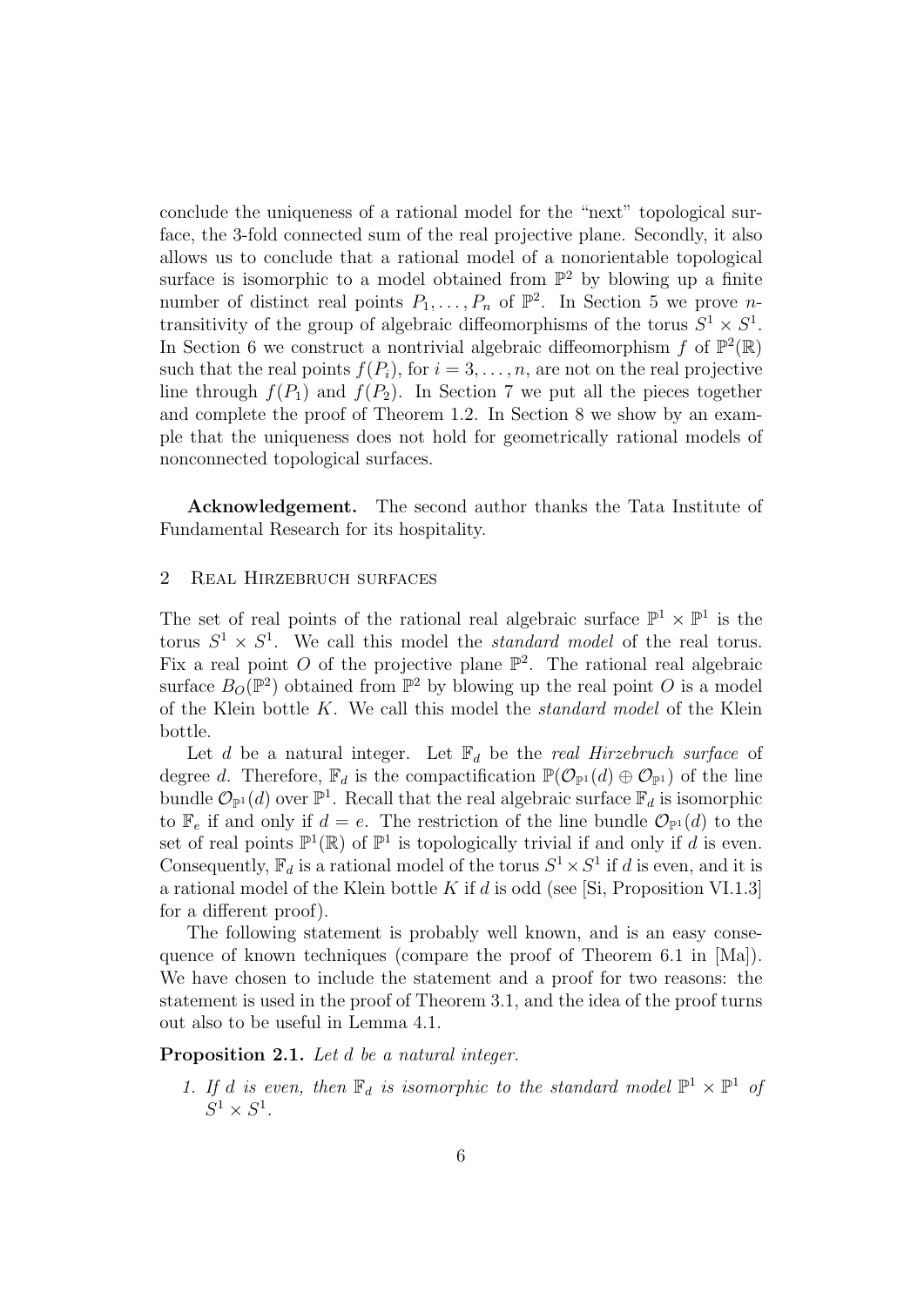conclude the uniqueness of a rational model for the "next" topological surface, the 3-fold connected sum of the real projective plane. Secondly, it also allows us to conclude that a rational model of a nonorientable topological surface is isomorphic to a model obtained from  $\mathbb{P}^2$  by blowing up a finite number of distinct real points  $P_1, \ldots, P_n$  of  $\mathbb{P}^2$ . In Section 5 we prove *n*transitivity of the group of algebraic diffeomorphisms of the torus  $S^1 \times S^1$ . In Section 6 we construct a nontrivial algebraic diffeomorphism f of  $\mathbb{P}^2(\mathbb{R})$ such that the real points  $f(P_i)$ , for  $i = 3, \ldots, n$ , are not on the real projective line through  $f(P_1)$  and  $f(P_2)$ . In Section 7 we put all the pieces together and complete the proof of Theorem 1.2. In Section 8 we show by an example that the uniqueness does not hold for geometrically rational models of nonconnected topological surfaces.

Acknowledgement. The second author thanks the Tata Institute of Fundamental Research for its hospitality.

## 2 Real Hirzebruch surfaces

The set of real points of the rational real algebraic surface  $\mathbb{P}^1 \times \mathbb{P}^1$  is the torus  $S^1 \times S^1$ . We call this model the *standard model* of the real torus. Fix a real point O of the projective plane  $\mathbb{P}^2$ . The rational real algebraic surface  $B_O(\mathbb{P}^2)$  obtained from  $\mathbb{P}^2$  by blowing up the real point O is a model of the Klein bottle  $K$ . We call this model the *standard model* of the Klein bottle.

Let d be a natural integer. Let  $\mathbb{F}_d$  be the real Hirzebruch surface of degree d. Therefore,  $\mathbb{F}_d$  is the compactification  $\mathbb{P}(\mathcal{O}_{\mathbb{P}^1}(d) \oplus \mathcal{O}_{\mathbb{P}^1})$  of the line bundle  $\mathcal{O}_{\mathbb{P}^1}(d)$  over  $\mathbb{P}^1$ . Recall that the real algebraic surface  $\mathbb{F}_d$  is isomorphic to  $\mathbb{F}_e$  if and only if  $d = e$ . The restriction of the line bundle  $\mathcal{O}_{\mathbb{P}^1}(d)$  to the set of real points  $\mathbb{P}^1(\mathbb{R})$  of  $\mathbb{P}^1$  is topologically trivial if and only if d is even. Consequently,  $\mathbb{F}_d$  is a rational model of the torus  $S^1 \times S^1$  if d is even, and it is a rational model of the Klein bottle K if d is odd (see [Si, Proposition VI.1.3] for a different proof).

The following statement is probably well known, and is an easy consequence of known techniques (compare the proof of Theorem 6.1 in [Ma]). We have chosen to include the statement and a proof for two reasons: the statement is used in the proof of Theorem 3.1, and the idea of the proof turns out also to be useful in Lemma 4.1.

Proposition 2.1. Let d be a natural integer.

1. If d is even, then  $\mathbb{F}_d$  is isomorphic to the standard model  $\mathbb{P}^1 \times \mathbb{P}^1$  of  $S^1 \times S^1$ .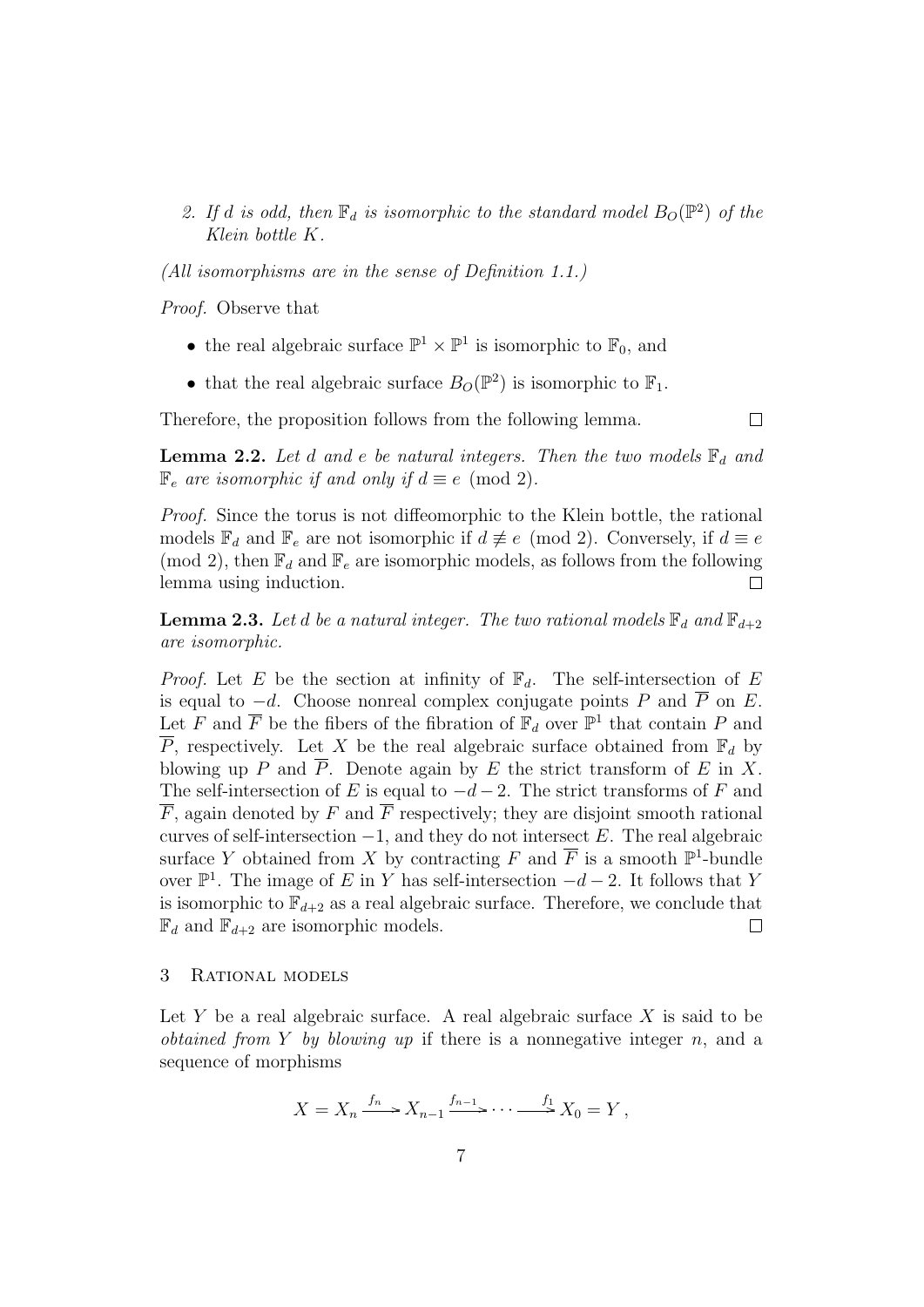2. If d is odd, then  $\mathbb{F}_d$  is isomorphic to the standard model  $B_O(\mathbb{P}^2)$  of the Klein bottle K.

(All isomorphisms are in the sense of Definition 1.1.)

Proof. Observe that

- the real algebraic surface  $\mathbb{P}^1 \times \mathbb{P}^1$  is isomorphic to  $\mathbb{F}_0$ , and
- that the real algebraic surface  $B_O(\mathbb{P}^2)$  is isomorphic to  $\mathbb{F}_1$ .

Therefore, the proposition follows from the following lemma.

 $\Box$ 

**Lemma 2.2.** Let d and e be natural integers. Then the two models  $\mathbb{F}_d$  and  $\mathbb{F}_e$  are isomorphic if and only if  $d \equiv e \pmod{2}$ .

Proof. Since the torus is not diffeomorphic to the Klein bottle, the rational models  $\mathbb{F}_d$  and  $\mathbb{F}_e$  are not isomorphic if  $d \not\equiv e \pmod{2}$ . Conversely, if  $d \equiv e$ (mod 2), then  $\mathbb{F}_d$  and  $\mathbb{F}_e$  are isomorphic models, as follows from the following lemma using induction.  $\Box$ 

**Lemma 2.3.** Let d be a natural integer. The two rational models  $\mathbb{F}_d$  and  $\mathbb{F}_{d+2}$ are isomorphic.

*Proof.* Let E be the section at infinity of  $\mathbb{F}_d$ . The self-intersection of E is equal to  $-d$ . Choose nonreal complex conjugate points P and  $\overline{P}$  on E. Let F and  $\overline{F}$  be the fibers of the fibration of  $\mathbb{F}_d$  over  $\mathbb{P}^1$  that contain P and  $\overline{P}$ , respectively. Let X be the real algebraic surface obtained from  $\mathbb{F}_d$  by blowing up P and  $\overline{P}$ . Denote again by E the strict transform of E in X. The self-intersection of E is equal to  $-d-2$ . The strict transforms of F and  $\overline{F}$ , again denoted by F and  $\overline{F}$  respectively; they are disjoint smooth rational curves of self-intersection  $-1$ , and they do not intersect E. The real algebraic surface Y obtained from X by contracting F and  $\overline{F}$  is a smooth  $\mathbb{P}^1$ -bundle over  $\mathbb{P}^1$ . The image of E in Y has self-intersection  $-d-2$ . It follows that Y is isomorphic to  $\mathbb{F}_{d+2}$  as a real algebraic surface. Therefore, we conclude that  $\mathbb{F}_d$  and  $\mathbb{F}_{d+2}$  are isomorphic models.  $\Box$ 

# 3 Rational models

Let Y be a real algebraic surface. A real algebraic surface  $X$  is said to be *obtained from Y by blowing up* if there is a nonnegative integer  $n$ , and a sequence of morphisms

$$
X = X_n \xrightarrow{f_n} X_{n-1} \xrightarrow{f_{n-1}} \cdots \xrightarrow{f_1} X_0 = Y,
$$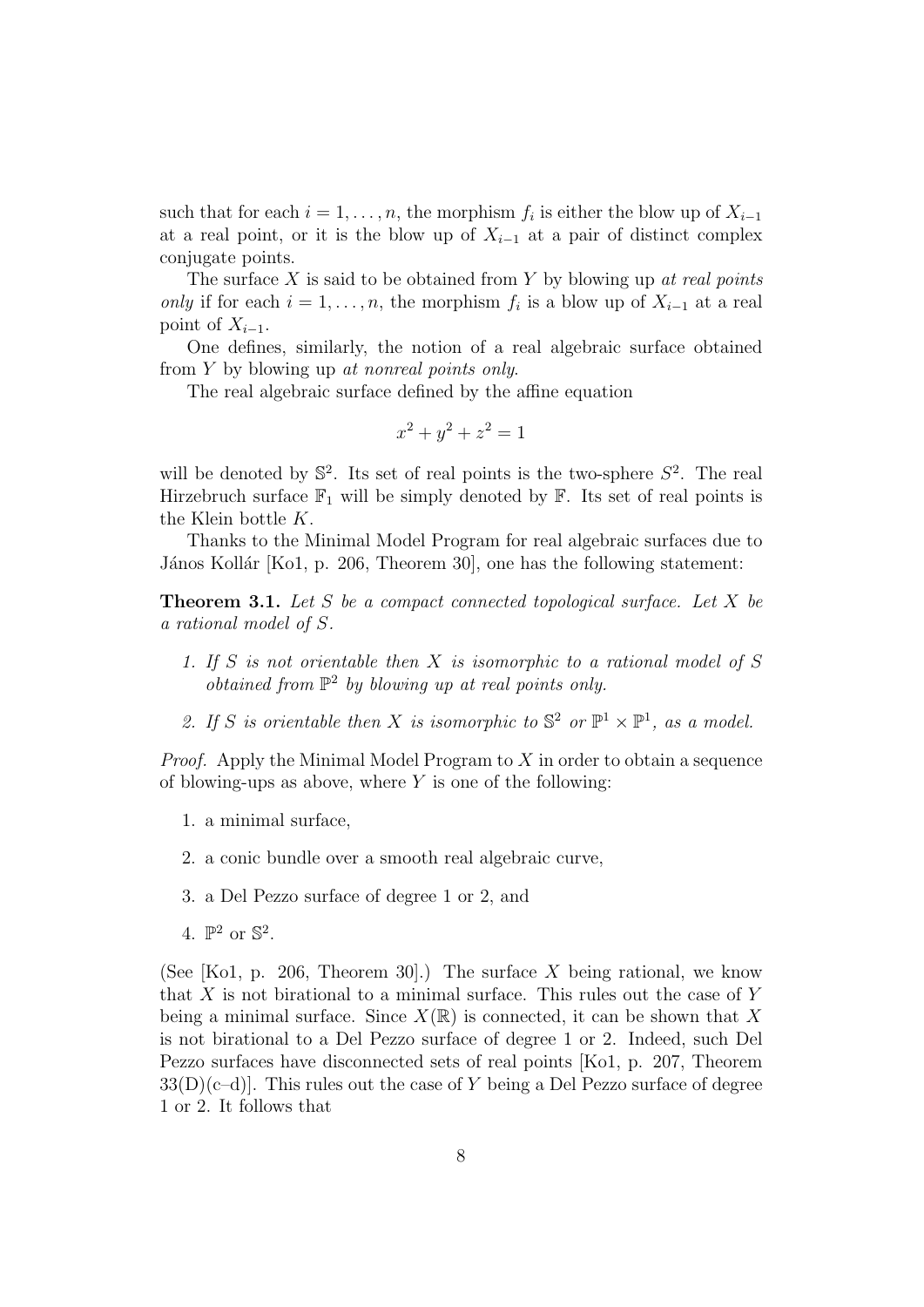such that for each  $i = 1, \ldots, n$ , the morphism  $f_i$  is either the blow up of  $X_{i-1}$ at a real point, or it is the blow up of  $X_{i-1}$  at a pair of distinct complex conjugate points.

The surface  $X$  is said to be obtained from  $Y$  by blowing up at real points only if for each  $i = 1, \ldots, n$ , the morphism  $f_i$  is a blow up of  $X_{i-1}$  at a real point of  $X_{i-1}$ .

One defines, similarly, the notion of a real algebraic surface obtained from Y by blowing up at nonreal points only.

The real algebraic surface defined by the affine equation

$$
x^2 + y^2 + z^2 = 1
$$

will be denoted by  $\mathbb{S}^2$ . Its set of real points is the two-sphere  $S^2$ . The real Hirzebruch surface  $\mathbb{F}_1$  will be simply denoted by  $\mathbb{F}$ . Its set of real points is the Klein bottle K.

Thanks to the Minimal Model Program for real algebraic surfaces due to János Kollár [Ko1, p. 206, Theorem 30], one has the following statement:

**Theorem 3.1.** Let S be a compact connected topological surface. Let X be a rational model of S.

- 1. If S is not orientable then X is isomorphic to a rational model of S  $obtained from  $\mathbb{P}^2$  by blowing up at real points only.$
- 2. If S is orientable then X is isomorphic to  $\mathbb{S}^2$  or  $\mathbb{P}^1 \times \mathbb{P}^1$ , as a model.

*Proof.* Apply the Minimal Model Program to  $X$  in order to obtain a sequence of blowing-ups as above, where  $Y$  is one of the following:

- 1. a minimal surface,
- 2. a conic bundle over a smooth real algebraic curve,
- 3. a Del Pezzo surface of degree 1 or 2, and
- 4.  $\mathbb{P}^2$  or  $\mathbb{S}^2$ .

(See [Ko1, p. 206, Theorem 30].) The surface X being rational, we know that X is not birational to a minimal surface. This rules out the case of Y being a minimal surface. Since  $X(\mathbb{R})$  is connected, it can be shown that X is not birational to a Del Pezzo surface of degree 1 or 2. Indeed, such Del Pezzo surfaces have disconnected sets of real points [Ko1, p. 207, Theorem  $33(D)(c-d)$ . This rules out the case of Y being a Del Pezzo surface of degree 1 or 2. It follows that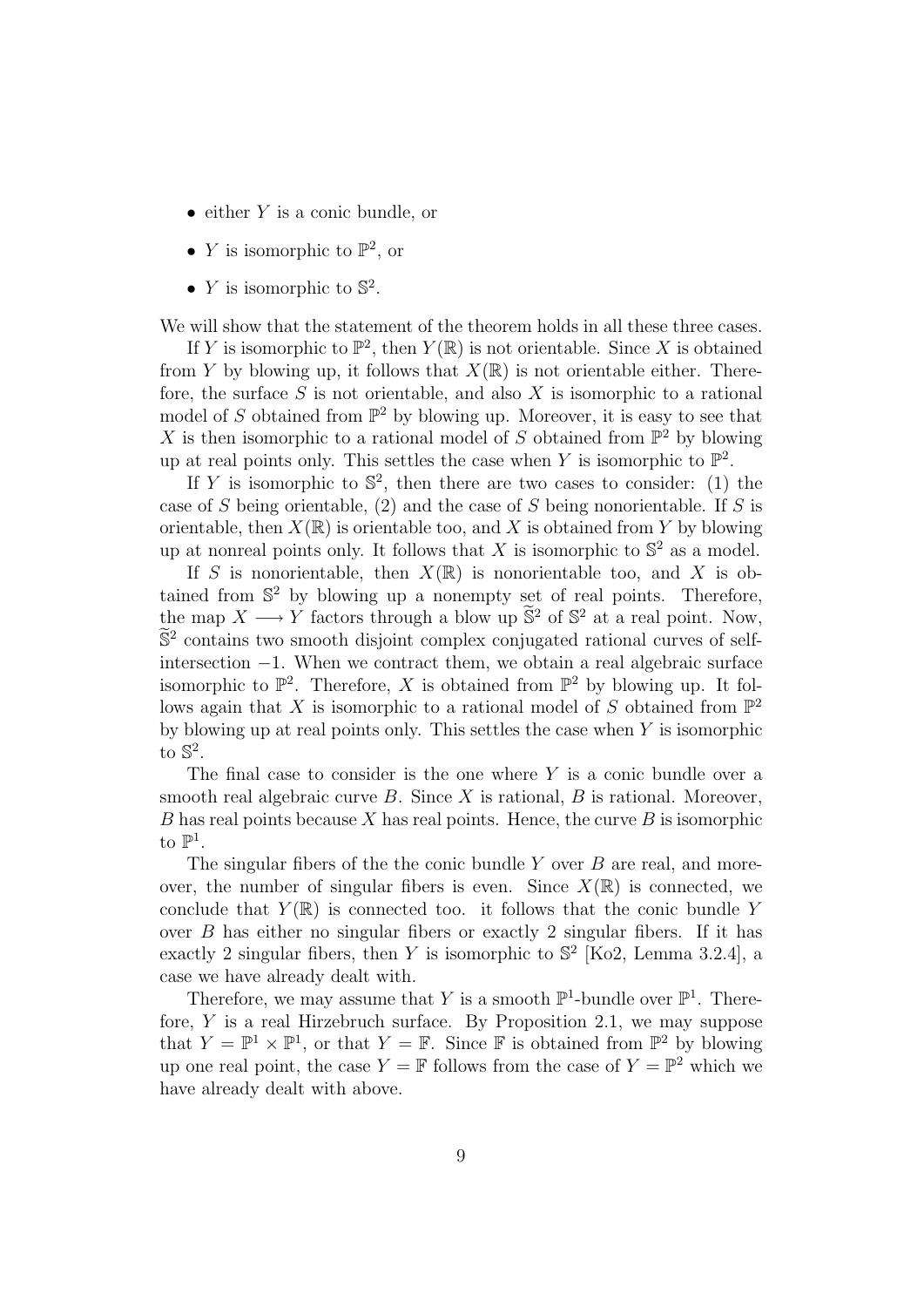- $\bullet$  either Y is a conic bundle, or
- *Y* is isomorphic to  $\mathbb{P}^2$ , or
- *Y* is isomorphic to  $\mathbb{S}^2$ .

We will show that the statement of the theorem holds in all these three cases.

If Y is isomorphic to  $\mathbb{P}^2$ , then  $Y(\mathbb{R})$  is not orientable. Since X is obtained from Y by blowing up, it follows that  $X(\mathbb{R})$  is not orientable either. Therefore, the surface  $S$  is not orientable, and also  $X$  is isomorphic to a rational model of S obtained from  $\mathbb{P}^2$  by blowing up. Moreover, it is easy to see that X is then isomorphic to a rational model of S obtained from  $\mathbb{P}^2$  by blowing up at real points only. This settles the case when Y is isomorphic to  $\mathbb{P}^2$ .

If Y is isomorphic to  $\mathbb{S}^2$ , then there are two cases to consider: (1) the case of S being orientable,  $(2)$  and the case of S being nonorientable. If S is orientable, then  $X(\mathbb{R})$  is orientable too, and X is obtained from Y by blowing up at nonreal points only. It follows that X is isomorphic to  $\mathbb{S}^2$  as a model.

If S is nonorientable, then  $X(\mathbb{R})$  is nonorientable too, and X is obtained from S <sup>2</sup> by blowing up a nonempty set of real points. Therefore, the map  $X \longrightarrow Y$  factors through a blow up  $\tilde{S}^2$  of  $S^2$  at a real point. Now,  $\tilde{S}^2$  contains two smooth disjoint complex conjugated rational curves of selfintersection −1. When we contract them, we obtain a real algebraic surface isomorphic to  $\mathbb{P}^2$ . Therefore, X is obtained from  $\mathbb{P}^2$  by blowing up. It follows again that X is isomorphic to a rational model of S obtained from  $\mathbb{P}^2$ by blowing up at real points only. This settles the case when  $Y$  is isomorphic to  $\mathbb{S}^2$ .

The final case to consider is the one where  $Y$  is a conic bundle over a smooth real algebraic curve  $B$ . Since  $X$  is rational,  $B$  is rational. Moreover,  $B$  has real points because  $X$  has real points. Hence, the curve  $B$  is isomorphic to  $\mathbb{P}^1$ .

The singular fibers of the the conic bundle  $Y$  over  $B$  are real, and moreover, the number of singular fibers is even. Since  $X(\mathbb{R})$  is connected, we conclude that  $Y(\mathbb{R})$  is connected too. it follows that the conic bundle Y over  $B$  has either no singular fibers or exactly 2 singular fibers. If it has exactly 2 singular fibers, then Y is isomorphic to  $\mathbb{S}^2$  [Ko2, Lemma 3.2.4], a case we have already dealt with.

Therefore, we may assume that Y is a smooth  $\mathbb{P}^1$ -bundle over  $\mathbb{P}^1$ . Therefore,  $Y$  is a real Hirzebruch surface. By Proposition 2.1, we may suppose that  $Y = \mathbb{P}^1 \times \mathbb{P}^1$ , or that  $Y = \mathbb{F}$ . Since  $\mathbb{F}$  is obtained from  $\mathbb{P}^2$  by blowing up one real point, the case  $Y = \mathbb{F}$  follows from the case of  $Y = \mathbb{P}^2$  which we have already dealt with above.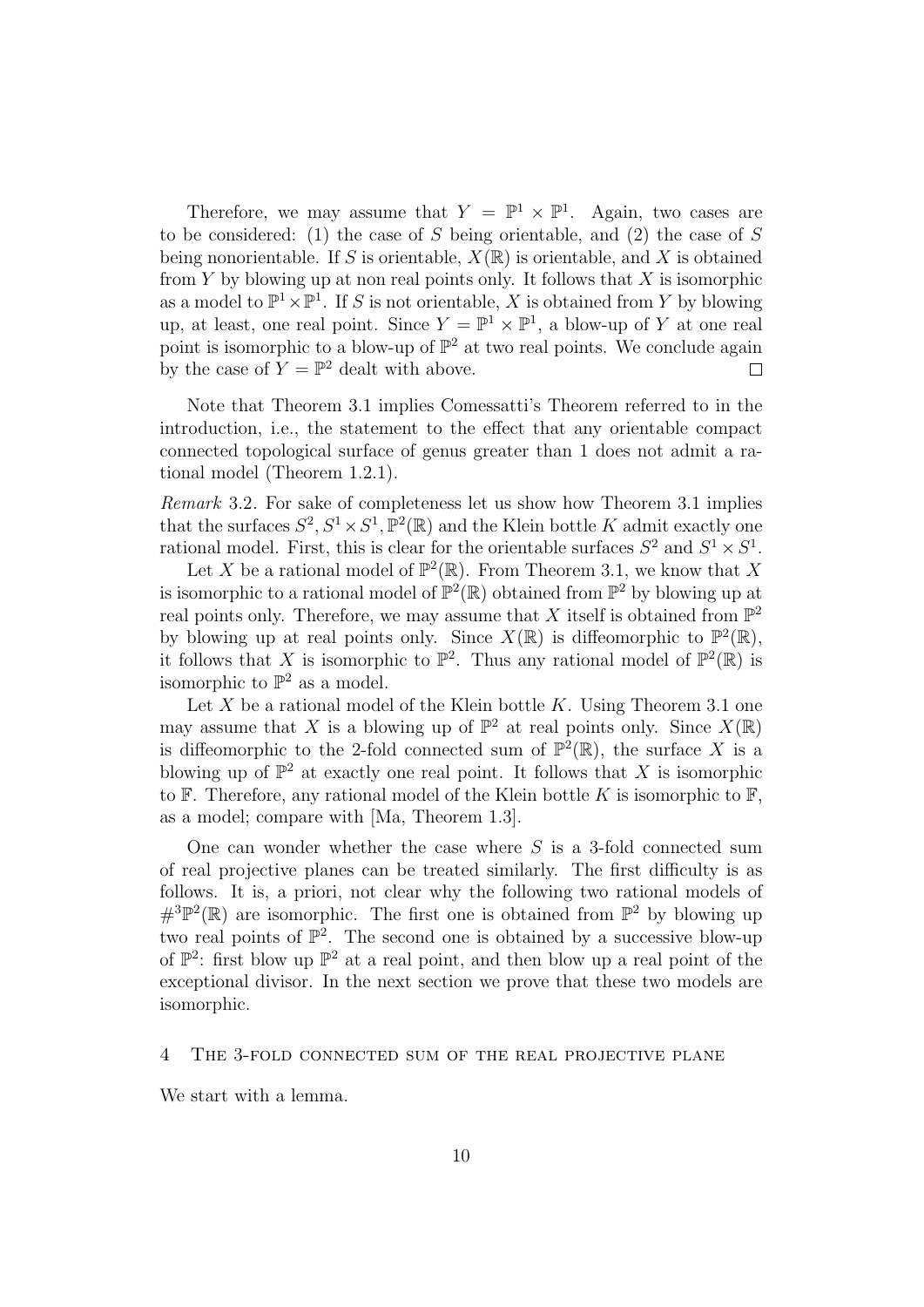Therefore, we may assume that  $Y = \mathbb{P}^1 \times \mathbb{P}^1$ . Again, two cases are to be considered: (1) the case of S being orientable, and (2) the case of S being nonorientable. If S is orientable,  $X(\mathbb{R})$  is orientable, and X is obtained from Y by blowing up at non real points only. It follows that X is isomorphic as a model to  $\mathbb{P}^1 \times \mathbb{P}^1$ . If S is not orientable, X is obtained from Y by blowing up, at least, one real point. Since  $Y = \mathbb{P}^1 \times \mathbb{P}^1$ , a blow-up of Y at one real point is isomorphic to a blow-up of  $\mathbb{P}^2$  at two real points. We conclude again by the case of  $Y = \mathbb{P}^2$  dealt with above.

Note that Theorem 3.1 implies Comessatti's Theorem referred to in the introduction, i.e., the statement to the effect that any orientable compact connected topological surface of genus greater than 1 does not admit a rational model (Theorem 1.2.1).

Remark 3.2. For sake of completeness let us show how Theorem 3.1 implies that the surfaces  $S^2$ ,  $S^1 \times S^1$ ,  $\mathbb{P}^2(\mathbb{R})$  and the Klein bottle K admit exactly one rational model. First, this is clear for the orientable surfaces  $S^2$  and  $S^1 \times S^1$ .

Let X be a rational model of  $\mathbb{P}^2(\mathbb{R})$ . From Theorem 3.1, we know that X is isomorphic to a rational model of  $\mathbb{P}^2(\mathbb{R})$  obtained from  $\mathbb{P}^2$  by blowing up at real points only. Therefore, we may assume that X itself is obtained from  $\mathbb{P}^2$ by blowing up at real points only. Since  $X(\mathbb{R})$  is diffeomorphic to  $\mathbb{P}^2(\mathbb{R})$ , it follows that X is isomorphic to  $\mathbb{P}^2$ . Thus any rational model of  $\mathbb{P}^2(\mathbb{R})$  is isomorphic to  $\mathbb{P}^2$  as a model.

Let  $X$  be a rational model of the Klein bottle  $K$ . Using Theorem 3.1 one may assume that X is a blowing up of  $\mathbb{P}^2$  at real points only. Since  $X(\mathbb{R})$ is diffeomorphic to the 2-fold connected sum of  $\mathbb{P}^2(\mathbb{R})$ , the surface X is a blowing up of  $\mathbb{P}^2$  at exactly one real point. It follows that X is isomorphic to  $\mathbb F$ . Therefore, any rational model of the Klein bottle K is isomorphic to  $\mathbb F$ , as a model; compare with [Ma, Theorem 1.3].

One can wonder whether the case where  $S$  is a 3-fold connected sum of real projective planes can be treated similarly. The first difficulty is as follows. It is, a priori, not clear why the following two rational models of  $\#^3\mathbb{P}^2(\mathbb{R})$  are isomorphic. The first one is obtained from  $\mathbb{P}^2$  by blowing up two real points of  $\mathbb{P}^2$ . The second one is obtained by a successive blow-up of  $\mathbb{P}^2$ : first blow up  $\mathbb{P}^2$  at a real point, and then blow up a real point of the exceptional divisor. In the next section we prove that these two models are isomorphic.

#### 4 The 3-fold connected sum of the real projective plane

We start with a lemma.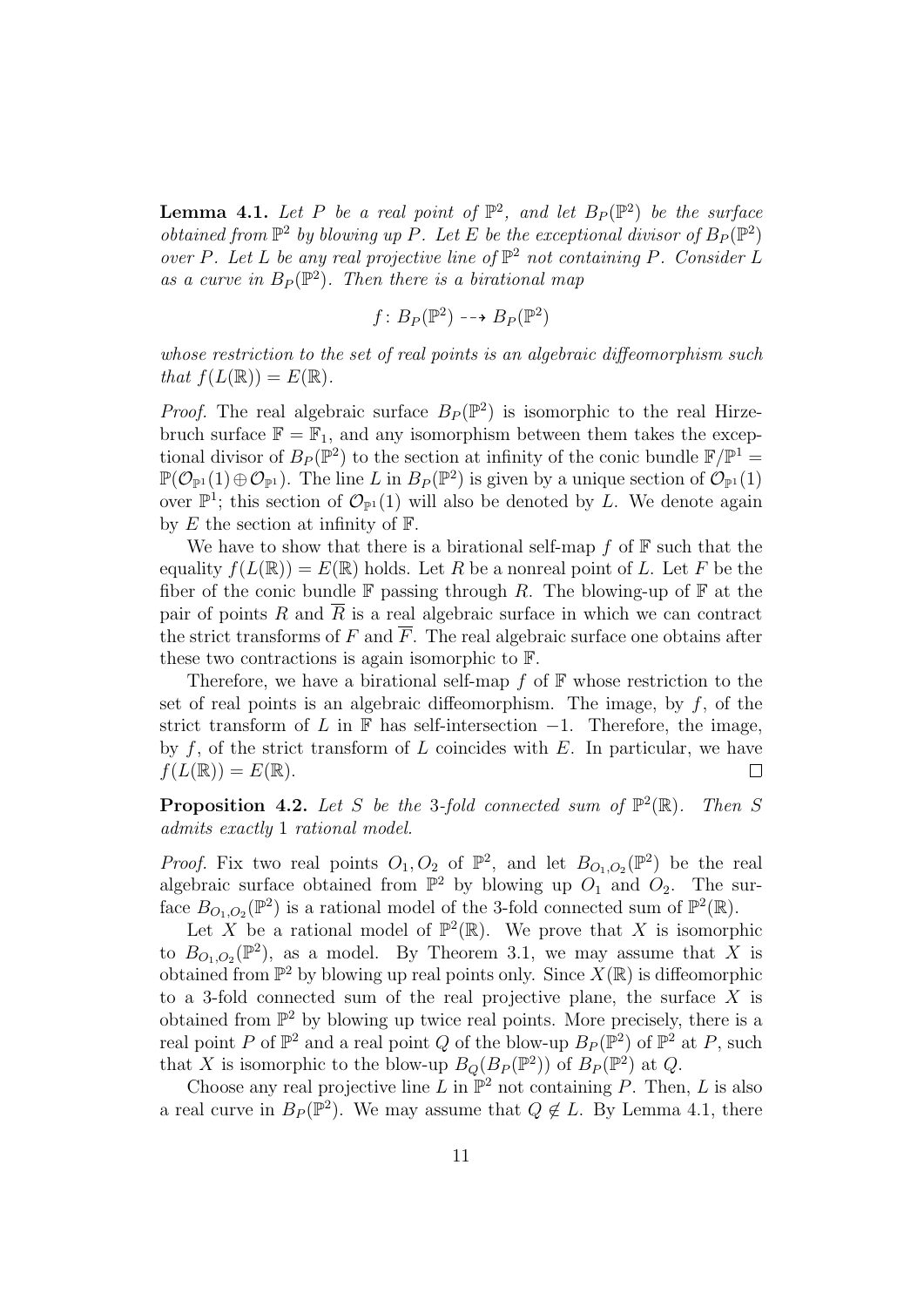**Lemma 4.1.** Let P be a real point of  $\mathbb{P}^2$ , and let  $B_P(\mathbb{P}^2)$  be the surface obtained from  $\mathbb{P}^2$  by blowing up P. Let E be the exceptional divisor of  $B_P(\mathbb{P}^2)$ over P. Let L be any real projective line of  $\mathbb{P}^2$  not containing P. Consider L as a curve in  $B_P(\mathbb{P}^2)$ . Then there is a birational map

$$
f\colon B_P(\mathbb{P}^2) \dashrightarrow B_P(\mathbb{P}^2)
$$

whose restriction to the set of real points is an algebraic diffeomorphism such that  $f(L(\mathbb{R})) = E(\mathbb{R})$ .

*Proof.* The real algebraic surface  $B_P(\mathbb{P}^2)$  is isomorphic to the real Hirzebruch surface  $\mathbb{F} = \mathbb{F}_1$ , and any isomorphism between them takes the exceptional divisor of  $B_P(\mathbb{P}^2)$  to the section at infinity of the conic bundle  $\mathbb{F}/\mathbb{P}^1$  =  $\mathbb{P}(\mathcal{O}_{\mathbb{P}^1}(1) \oplus \mathcal{O}_{\mathbb{P}^1})$ . The line L in  $B_P(\mathbb{P}^2)$  is given by a unique section of  $\mathcal{O}_{\mathbb{P}^1}(1)$ over  $\mathbb{P}^1$ ; this section of  $\mathcal{O}_{\mathbb{P}^1}(1)$  will also be denoted by L. We denote again by  $E$  the section at infinity of  $\mathbb{F}$ .

We have to show that there is a birational self-map  $f$  of  $\mathbb F$  such that the equality  $f(L(\mathbb{R})) = E(\mathbb{R})$  holds. Let R be a nonreal point of L. Let F be the fiber of the conic bundle  $\mathbb F$  passing through R. The blowing-up of  $\mathbb F$  at the pair of points  $R$  and  $R$  is a real algebraic surface in which we can contract the strict transforms of F and  $\overline{F}$ . The real algebraic surface one obtains after these two contractions is again isomorphic to F.

Therefore, we have a birational self-map  $f$  of  $\mathbb F$  whose restriction to the set of real points is an algebraic diffeomorphism. The image, by  $f$ , of the strict transform of L in  $\mathbb F$  has self-intersection  $-1$ . Therefore, the image, by  $f$ , of the strict transform of  $L$  coincides with  $E$ . In particular, we have  $f(L(\mathbb{R})) = E(\mathbb{R}).$  $\Box$ 

**Proposition 4.2.** Let S be the 3-fold connected sum of  $\mathbb{P}^2$ Then S admits exactly 1 rational model.

*Proof.* Fix two real points  $O_1, O_2$  of  $\mathbb{P}^2$ , and let  $B_{O_1,O_2}(\mathbb{P}^2)$  be the real algebraic surface obtained from  $\mathbb{P}^2$  by blowing up  $O_1$  and  $O_2$ . The surface  $B_{O_1,O_2}(\mathbb{P}^2)$  is a rational model of the 3-fold connected sum of  $\mathbb{P}^2(\mathbb{R})$ .

Let X be a rational model of  $\mathbb{P}^2(\mathbb{R})$ . We prove that X is isomorphic to  $B_{O_1,O_2}(\mathbb{P}^2)$ , as a model. By Theorem 3.1, we may assume that X is obtained from  $\mathbb{P}^2$  by blowing up real points only. Since  $X(\mathbb{R})$  is diffeomorphic to a 3-fold connected sum of the real projective plane, the surface  $X$  is obtained from  $\mathbb{P}^2$  by blowing up twice real points. More precisely, there is a real point P of  $\mathbb{P}^2$  and a real point Q of the blow-up  $B_P(\mathbb{P}^2)$  of  $\mathbb{P}^2$  at P, such that X is isomorphic to the blow-up  $B_Q(B_P(\mathbb{P}^2))$  of  $B_P(\mathbb{P}^2)$  at Q.

Choose any real projective line L in  $\mathbb{P}^2$  not containing P. Then, L is also a real curve in  $B_P(\mathbb{P}^2)$ . We may assume that  $Q \notin L$ . By Lemma 4.1, there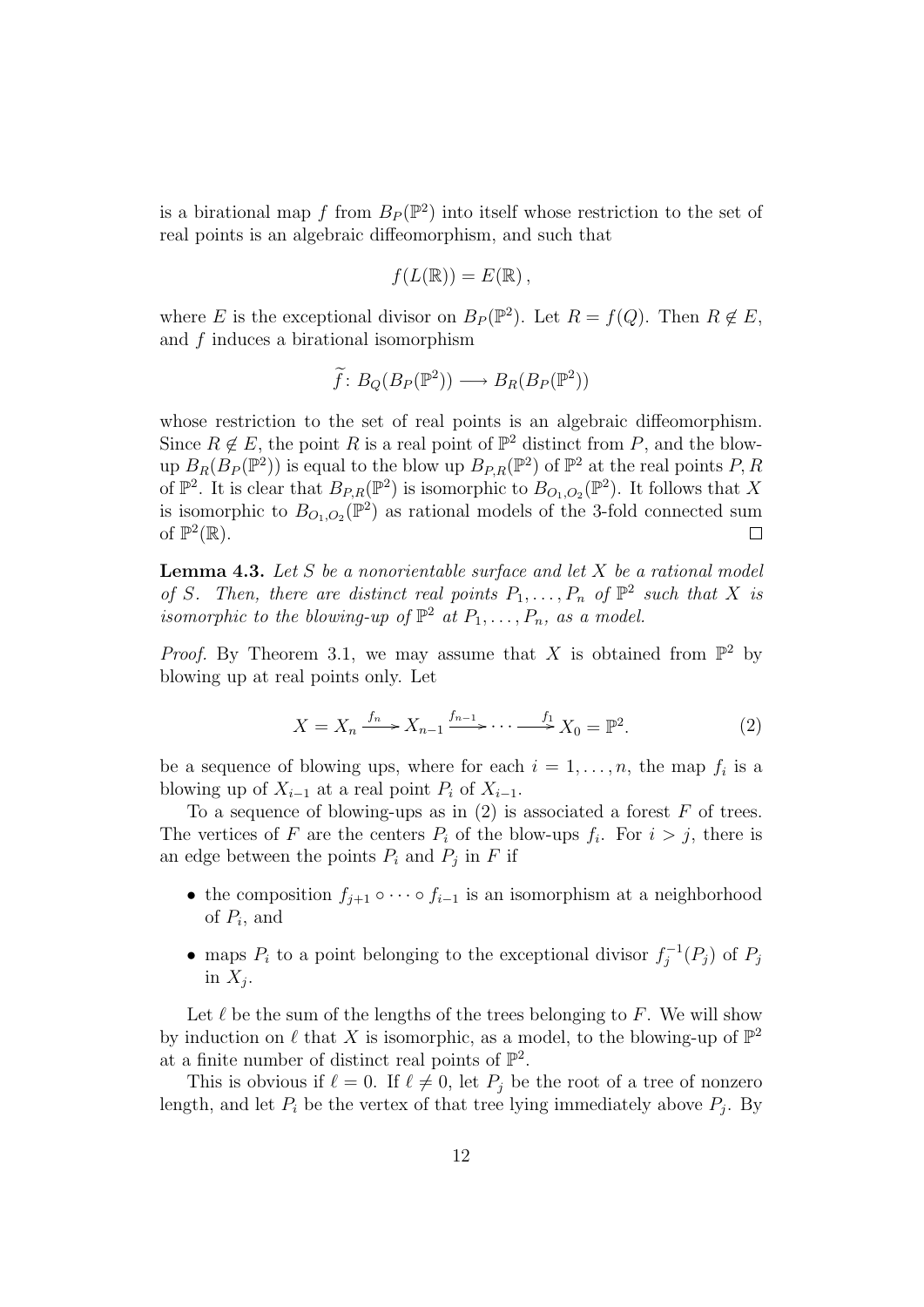is a birational map f from  $B_P(\mathbb{P}^2)$  into itself whose restriction to the set of real points is an algebraic diffeomorphism, and such that

$$
f(L(\mathbb{R})) = E(\mathbb{R}),
$$

where E is the exceptional divisor on  $B_P(\mathbb{P}^2)$ . Let  $R = f(Q)$ . Then  $R \notin E$ , and f induces a birational isomorphism

$$
\widetilde{f}: B_Q(B_P(\mathbb{P}^2)) \longrightarrow B_R(B_P(\mathbb{P}^2))
$$

whose restriction to the set of real points is an algebraic diffeomorphism. Since  $R \notin E$ , the point R is a real point of  $\mathbb{P}^2$  distinct from P, and the blowup  $B_R(B_P(\mathbb{P}^2))$  is equal to the blow up  $B_{P,R}(\mathbb{P}^2)$  of  $\mathbb{P}^2$  at the real points P, R of  $\mathbb{P}^2$ . It is clear that  $B_{P,R}(\mathbb{P}^2)$  is isomorphic to  $B_{O_1,O_2}(\mathbb{P}^2)$ . It follows that X is isomorphic to  $B_{O_1,O_2}(\mathbb{P}^2)$  as rational models of the 3-fold connected sum of  $\mathbb{P}^2(\mathbb{R})$ .  $\Box$ 

**Lemma 4.3.** Let S be a nonorientable surface and let  $X$  be a rational model of S. Then, there are distinct real points  $P_1, \ldots, P_n$  of  $\mathbb{P}^2$  such that X is isomorphic to the blowing-up of  $\mathbb{P}^2$  at  $P_1, \ldots, P_n$ , as a model.

*Proof.* By Theorem 3.1, we may assume that X is obtained from  $\mathbb{P}^2$  by blowing up at real points only. Let

$$
X = X_n \xrightarrow{f_n} X_{n-1} \xrightarrow{f_{n-1}} \cdots \xrightarrow{f_1} X_0 = \mathbb{P}^2.
$$
 (2)

be a sequence of blowing ups, where for each  $i = 1, \ldots, n$ , the map  $f_i$  is a blowing up of  $X_{i-1}$  at a real point  $P_i$  of  $X_{i-1}$ .

To a sequence of blowing-ups as in  $(2)$  is associated a forest F of trees. The vertices of F are the centers  $P_i$  of the blow-ups  $f_i$ . For  $i > j$ , there is an edge between the points  $P_i$  and  $P_j$  in F if

- the composition  $f_{j+1} \circ \cdots \circ f_{i-1}$  is an isomorphism at a neighborhood of  $P_i$ , and
- maps  $P_i$  to a point belonging to the exceptional divisor  $f_i^{-1}$  $j^{-1}(P_j)$  of  $P_j$ in  $X_j$ .

Let  $\ell$  be the sum of the lengths of the trees belonging to F. We will show by induction on  $\ell$  that X is isomorphic, as a model, to the blowing-up of  $\mathbb{P}^2$ at a finite number of distinct real points of  $\mathbb{P}^2$ .

This is obvious if  $\ell = 0$ . If  $\ell \neq 0$ , let  $P_i$  be the root of a tree of nonzero length, and let  $P_i$  be the vertex of that tree lying immediately above  $P_j$ . By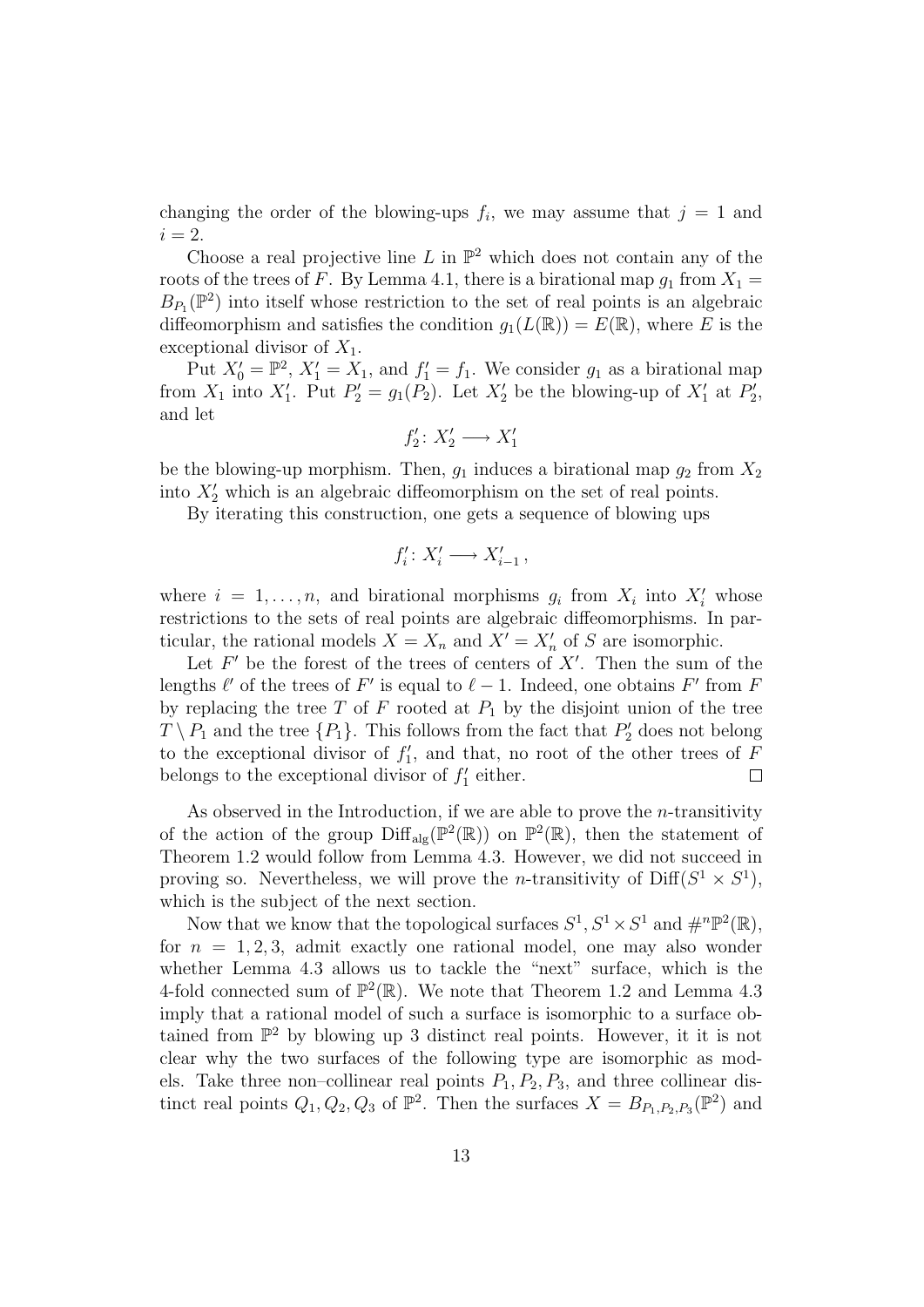changing the order of the blowing-ups  $f_i$ , we may assume that  $j = 1$  and  $i = 2$ .

Choose a real projective line L in  $\mathbb{P}^2$  which does not contain any of the roots of the trees of F. By Lemma 4.1, there is a birational map  $g_1$  from  $X_1 =$  $B_{P_1}(\mathbb{P}^2)$  into itself whose restriction to the set of real points is an algebraic diffeomorphism and satisfies the condition  $g_1(L(\mathbb{R})) = E(\mathbb{R})$ , where E is the exceptional divisor of  $X_1$ .

Put  $X'_0 = \mathbb{P}^2$ ,  $X'_1 = X_1$ , and  $f'_1 = f_1$ . We consider  $g_1$  as a birational map from  $X_1$  into  $X'_1$ . Put  $P'_2 = g_1(P_2)$ . Let  $X'_2$  be the blowing-up of  $X'_1$  at  $P'_2$ , and let

$$
f_2'\colon X_2'\longrightarrow X_1'
$$

be the blowing-up morphism. Then,  $g_1$  induces a birational map  $g_2$  from  $X_2$ into  $X_2'$  which is an algebraic diffeomorphism on the set of real points.

By iterating this construction, one gets a sequence of blowing ups

$$
f_i'\colon X_i'\longrightarrow X_{i-1}'\,,
$$

where  $i = 1, ..., n$ , and birational morphisms  $g_i$  from  $X_i$  into  $X'_i$  whose restrictions to the sets of real points are algebraic diffeomorphisms. In particular, the rational models  $X = X_n$  and  $X' = X'_n$  of S are isomorphic.

Let  $F'$  be the forest of the trees of centers of  $X'$ . Then the sum of the lengths  $\ell'$  of the trees of F' is equal to  $\ell - 1$ . Indeed, one obtains F' from F by replacing the tree T of F rooted at  $P_1$  by the disjoint union of the tree  $T \setminus P_1$  and the tree  $\{P_1\}$ . This follows from the fact that  $P'_2$  does not belong to the exceptional divisor of  $f'_1$ , and that, no root of the other trees of F belongs to the exceptional divisor of  $f'_1$  either.  $\Box$ 

As observed in the Introduction, if we are able to prove the  $n$ -transitivity of the action of the group  $\text{Diff}_{\text{alg}}(\mathbb{P}^2(\mathbb{R}))$  on  $\mathbb{P}^2(\mathbb{R})$ , then the statement of Theorem 1.2 would follow from Lemma 4.3. However, we did not succeed in proving so. Nevertheless, we will prove the *n*-transitivity of  $\text{Diff}(S^1 \times S^1)$ , which is the subject of the next section.

Now that we know that the topological surfaces  $S^1, S^1 \times S^1$  and  $\#^n \mathbb{P}^2(\mathbb{R})$ , for  $n = 1, 2, 3$ , admit exactly one rational model, one may also wonder whether Lemma 4.3 allows us to tackle the "next" surface, which is the 4-fold connected sum of  $\mathbb{P}^2(\mathbb{R})$ . We note that Theorem 1.2 and Lemma 4.3 imply that a rational model of such a surface is isomorphic to a surface obtained from  $\mathbb{P}^2$  by blowing up 3 distinct real points. However, it it is not clear why the two surfaces of the following type are isomorphic as models. Take three non–collinear real points  $P_1, P_2, P_3$ , and three collinear distinct real points  $Q_1, Q_2, Q_3$  of  $\mathbb{P}^2$ . Then the surfaces  $X = B_{P_1, P_2, P_3}(\mathbb{P}^2)$  and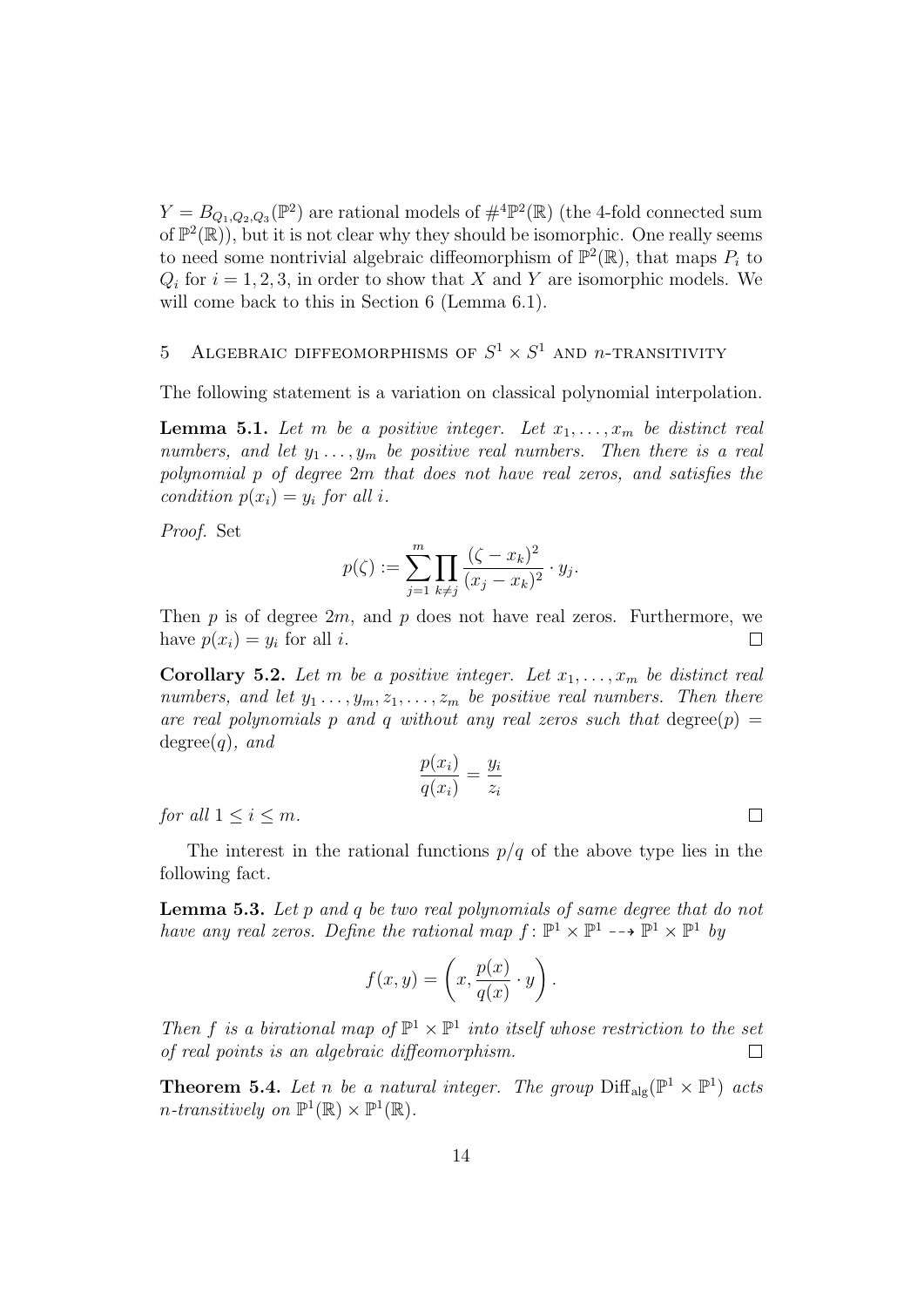$Y = B_{Q_1, Q_2, Q_3}(\mathbb{P}^2)$  are rational models of  $\#^4 \mathbb{P}^2(\mathbb{R})$  (the 4-fold connected sum of  $\mathbb{P}^2(\mathbb{R})$ , but it is not clear why they should be isomorphic. One really seems to need some nontrivial algebraic diffeomorphism of  $\mathbb{P}^2(\mathbb{R})$ , that maps  $P_i$  to  $Q_i$  for  $i = 1, 2, 3$ , in order to show that X and Y are isomorphic models. We will come back to this in Section 6 (Lemma 6.1).

# 5 ALGEBRAIC DIFFEOMORPHISMS OF  $S^1 \times S^1$  and n-TRANSITIVITY

The following statement is a variation on classical polynomial interpolation.

**Lemma 5.1.** Let m be a positive integer. Let  $x_1, \ldots, x_m$  be distinct real numbers, and let  $y_1 \ldots, y_m$  be positive real numbers. Then there is a real polynomial p of degree 2m that does not have real zeros, and satisfies the condition  $p(x_i) = y_i$  for all i.

Proof. Set

$$
p(\zeta) := \sum_{j=1}^{m} \prod_{k \neq j} \frac{(\zeta - x_k)^2}{(x_j - x_k)^2} \cdot y_j.
$$

Then  $p$  is of degree  $2m$ , and  $p$  does not have real zeros. Furthermore, we have  $p(x_i) = y_i$  for all *i*.  $\Box$ 

**Corollary 5.2.** Let m be a positive integer. Let  $x_1, \ldots, x_m$  be distinct real numbers, and let  $y_1 \ldots, y_m, z_1, \ldots, z_m$  be positive real numbers. Then there are real polynomials p and q without any real zeros such that degree(p) =  $degree(q)$ , and

$$
\frac{p(x_i)}{q(x_i)} = \frac{y_i}{z_i}
$$

for all  $1 \leq i \leq m$ .

The interest in the rational functions  $p/q$  of the above type lies in the following fact.

Lemma 5.3. Let p and q be two real polynomials of same degree that do not have any real zeros. Define the rational map  $f: \mathbb{P}^1 \times \mathbb{P}^1 \to \mathbb{P}^1 \times \mathbb{P}^1$  by

$$
f(x,y) = \left(x, \frac{p(x)}{q(x)} \cdot y\right).
$$

Then f is a birational map of  $\mathbb{P}^1 \times \mathbb{P}^1$  into itself whose restriction to the set of real points is an algebraic diffeomorphism.  $\Box$ 

**Theorem 5.4.** Let n be a natural integer. The group  $\text{Diff}_{\text{alg}}(\mathbb{P}^1 \times \mathbb{P}^1)$  acts *n*-transitively on  $\mathbb{P}^1(\mathbb{R}) \times \mathbb{P}^1(\mathbb{R})$ .

 $\Box$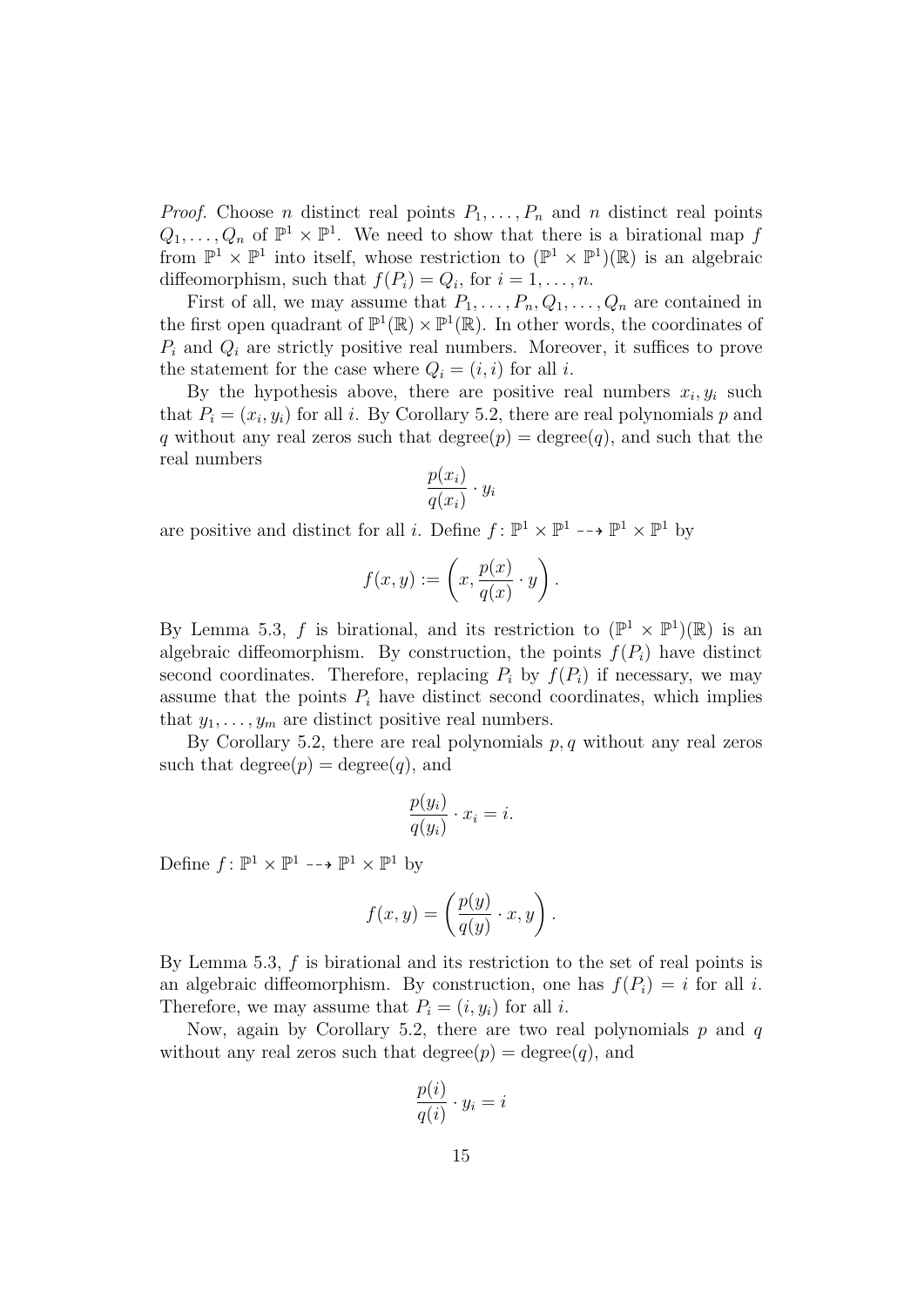*Proof.* Choose *n* distinct real points  $P_1, \ldots, P_n$  and *n* distinct real points  $Q_1, \ldots, Q_n$  of  $\mathbb{P}^1 \times \mathbb{P}^1$ . We need to show that there is a birational map f from  $\mathbb{P}^1 \times \mathbb{P}^1$  into itself, whose restriction to  $(\mathbb{P}^1 \times \mathbb{P}^1)(\mathbb{R})$  is an algebraic diffeomorphism, such that  $f(P_i) = Q_i$ , for  $i = 1, ..., n$ .

First of all, we may assume that  $P_1, \ldots, P_n, Q_1, \ldots, Q_n$  are contained in the first open quadrant of  $\mathbb{P}^1(\mathbb{R}) \times \mathbb{P}^1(\mathbb{R})$ . In other words, the coordinates of  $P_i$  and  $Q_i$  are strictly positive real numbers. Moreover, it suffices to prove the statement for the case where  $Q_i = (i, i)$  for all i.

By the hypothesis above, there are positive real numbers  $x_i, y_i$  such that  $P_i = (x_i, y_i)$  for all i. By Corollary 5.2, there are real polynomials p and q without any real zeros such that degree $(p) = \text{degree}(q)$ , and such that the real numbers

$$
\frac{p(x_i)}{q(x_i)} \cdot y_i
$$

are positive and distinct for all *i*. Define  $f: \mathbb{P}^1 \times \mathbb{P}^1 \longrightarrow \mathbb{P}^1 \times \mathbb{P}^1$  by

$$
f(x,y) := \left(x, \frac{p(x)}{q(x)} \cdot y\right).
$$

By Lemma 5.3, f is birational, and its restriction to  $(\mathbb{P}^1 \times \mathbb{P}^1)(\mathbb{R})$  is an algebraic diffeomorphism. By construction, the points  $f(P_i)$  have distinct second coordinates. Therefore, replacing  $P_i$  by  $f(P_i)$  if necessary, we may assume that the points  $P_i$  have distinct second coordinates, which implies that  $y_1, \ldots, y_m$  are distinct positive real numbers.

By Corollary 5.2, there are real polynomials  $p, q$  without any real zeros such that degree $(p) = \text{degree}(q)$ , and

$$
\frac{p(y_i)}{q(y_i)} \cdot x_i = i.
$$

Define  $f: \mathbb{P}^1 \times \mathbb{P}^1 \dashrightarrow \mathbb{P}^1 \times \mathbb{P}^1$  by

$$
f(x,y) = \left(\frac{p(y)}{q(y)} \cdot x, y\right).
$$

By Lemma 5.3,  $f$  is birational and its restriction to the set of real points is an algebraic diffeomorphism. By construction, one has  $f(P_i) = i$  for all i. Therefore, we may assume that  $P_i = (i, y_i)$  for all i.

Now, again by Corollary 5.2, there are two real polynomials  $p$  and  $q$ without any real zeros such that degree $(p) = \text{degree}(q)$ , and

$$
\frac{p(i)}{q(i)} \cdot y_i = i
$$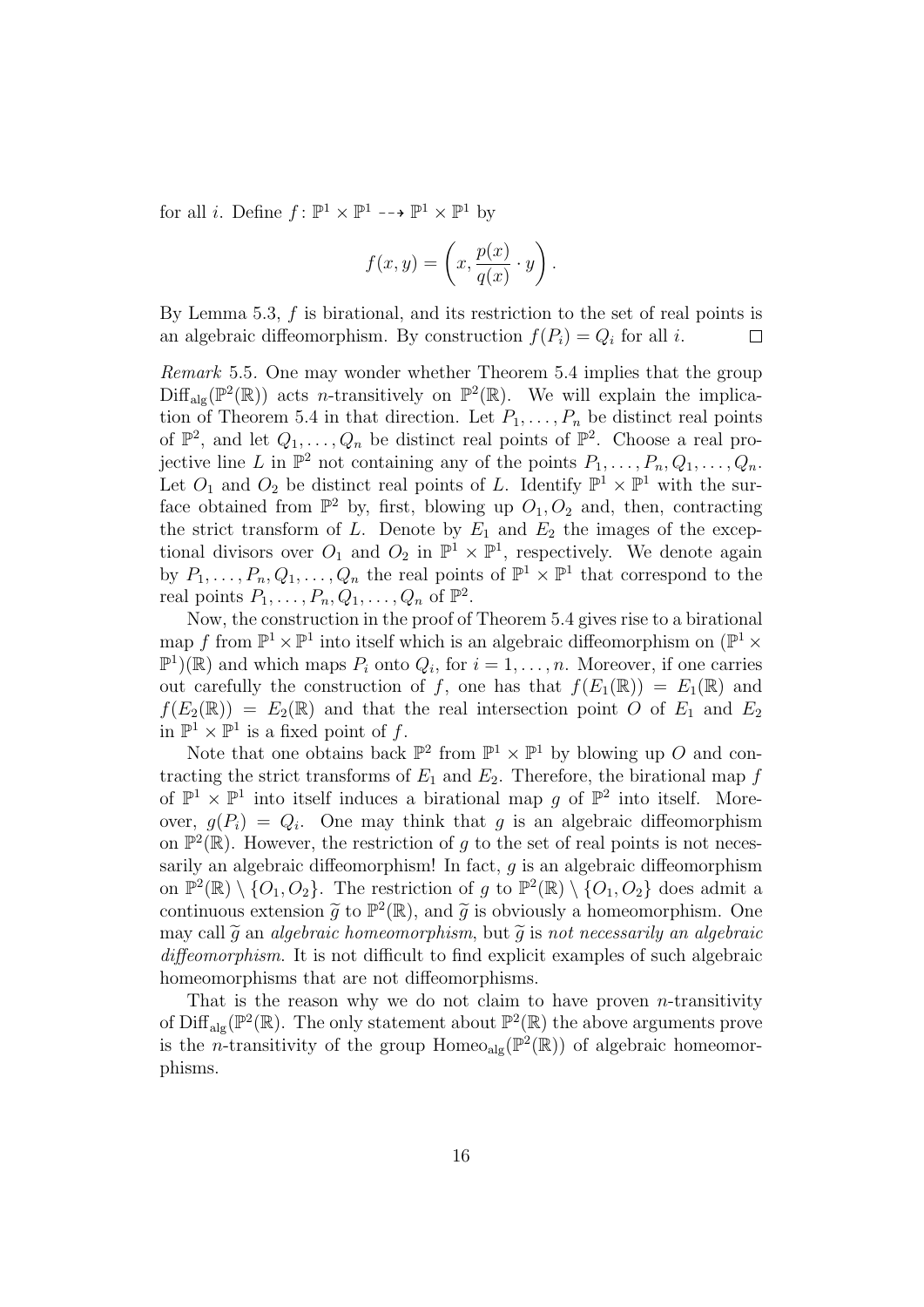for all *i*. Define  $f: \mathbb{P}^1 \times \mathbb{P}^1 \dashrightarrow \mathbb{P}^1 \times \mathbb{P}^1$  by

$$
f(x,y) = \left(x, \frac{p(x)}{q(x)} \cdot y\right).
$$

By Lemma 5.3,  $f$  is birational, and its restriction to the set of real points is an algebraic diffeomorphism. By construction  $f(P_i) = Q_i$  for all i. П

Remark 5.5. One may wonder whether Theorem 5.4 implies that the group  $\text{Diff}_{\text{alg}}(\mathbb{P}^2(\mathbb{R}))$  acts *n*-transitively on  $\mathbb{P}^2(\mathbb{R})$ . We will explain the implication of Theorem 5.4 in that direction. Let  $P_1, \ldots, P_n$  be distinct real points of  $\mathbb{P}^2$ , and let  $Q_1, \ldots, Q_n$  be distinct real points of  $\mathbb{P}^2$ . Choose a real projective line L in  $\mathbb{P}^2$  not containing any of the points  $P_1, \ldots, P_n, Q_1, \ldots, Q_n$ . Let  $O_1$  and  $O_2$  be distinct real points of L. Identify  $\mathbb{P}^1 \times \mathbb{P}^1$  with the surface obtained from  $\mathbb{P}^2$  by, first, blowing up  $O_1, O_2$  and, then, contracting the strict transform of L. Denote by  $E_1$  and  $E_2$  the images of the exceptional divisors over  $O_1$  and  $O_2$  in  $\mathbb{P}^1 \times \mathbb{P}^1$ , respectively. We denote again by  $P_1, \ldots, P_n, Q_1, \ldots, Q_n$  the real points of  $\mathbb{P}^1 \times \mathbb{P}^1$  that correspond to the real points  $P_1, \ldots, P_n, Q_1, \ldots, Q_n$  of  $\mathbb{P}^2$ .

Now, the construction in the proof of Theorem 5.4 gives rise to a birational map f from  $\mathbb{P}^1 \times \mathbb{P}^1$  into itself which is an algebraic diffeomorphism on  $(\mathbb{P}^1 \times$  $\mathbb{P}^1(\mathbb{R})$  and which maps  $P_i$  onto  $Q_i$ , for  $i = 1, \ldots, n$ . Moreover, if one carries out carefully the construction of f, one has that  $f(E_1(\mathbb{R})) = E_1(\mathbb{R})$  and  $f(E_2(\mathbb{R})) = E_2(\mathbb{R})$  and that the real intersection point O of  $E_1$  and  $E_2$ in  $\mathbb{P}^1 \times \mathbb{P}^1$  is a fixed point of f.

Note that one obtains back  $\mathbb{P}^2$  from  $\mathbb{P}^1 \times \mathbb{P}^1$  by blowing up O and contracting the strict transforms of  $E_1$  and  $E_2$ . Therefore, the birational map f of  $\mathbb{P}^1 \times \mathbb{P}^1$  into itself induces a birational map g of  $\mathbb{P}^2$  into itself. Moreover,  $g(P_i) = Q_i$ . One may think that g is an algebraic diffeomorphism on  $\mathbb{P}^2(\mathbb{R})$ . However, the restriction of g to the set of real points is not necessarily an algebraic diffeomorphism! In fact,  $g$  is an algebraic diffeomorphism on  $\mathbb{P}^2(\mathbb{R}) \setminus \{O_1, O_2\}$ . The restriction of g to  $\mathbb{P}^2(\mathbb{R}) \setminus \{O_1, O_2\}$  does admit a continuous extension  $\tilde{g}$  to  $\mathbb{P}^2(\mathbb{R})$ , and  $\tilde{g}$  is obviously a homeomorphism. One may call  $\tilde{g}$  an algebraic homeomorphism, but  $\tilde{g}$  is not necessarily an algebraic diffeomorphism. It is not difficult to find explicit examples of such algebraic homeomorphisms that are not diffeomorphisms.

That is the reason why we do not claim to have proven *n*-transitivity of Diff<sub>alg</sub>( $\mathbb{P}^2(\mathbb{R})$ ). The only statement about  $\mathbb{P}^2(\mathbb{R})$  the above arguments prove is the *n*-transitivity of the group Homeo<sub>alg</sub> ( $\mathbb{P}^2(\mathbb{R})$ ) of algebraic homeomorphisms.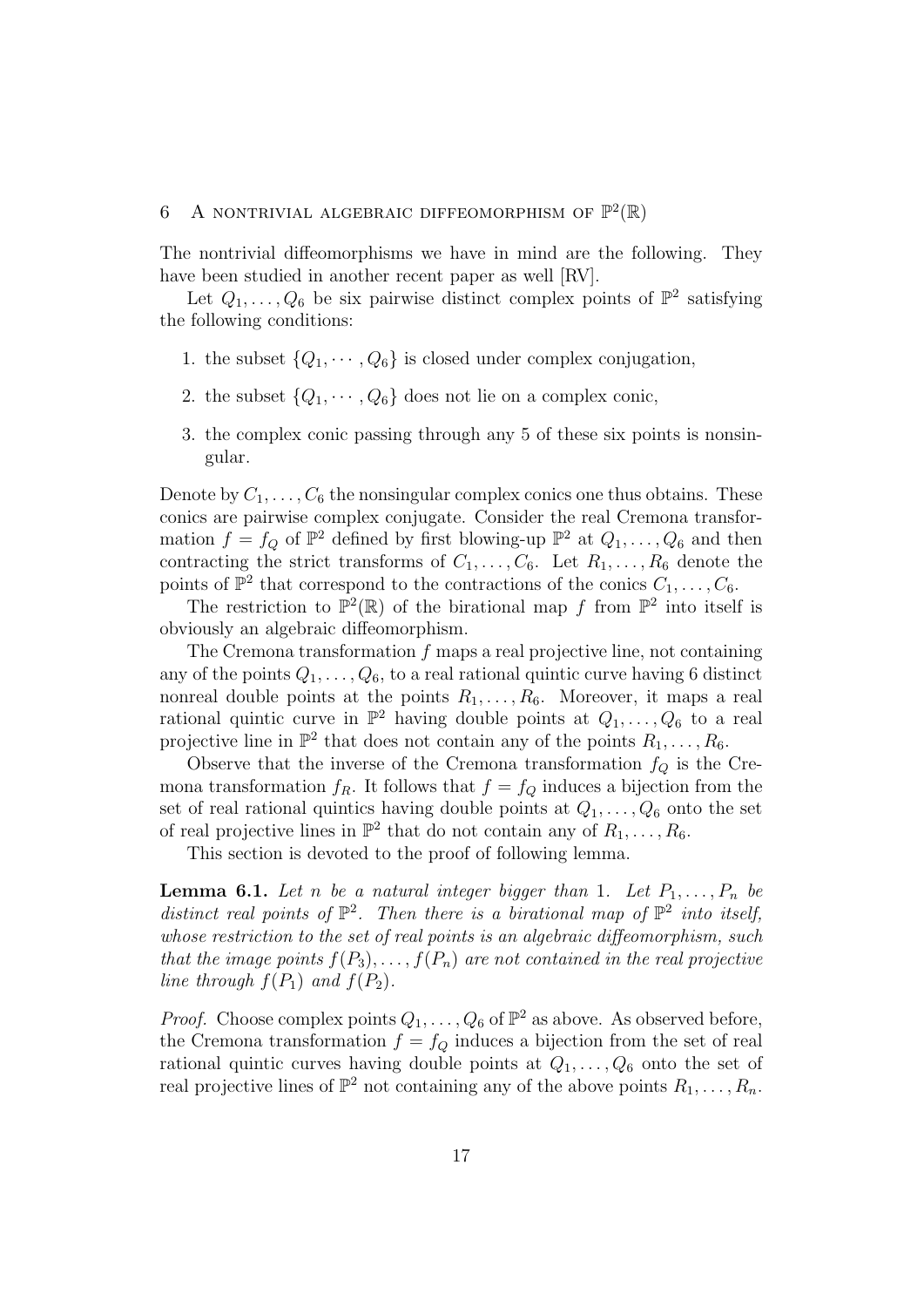# 6 A NONTRIVIAL ALGEBRAIC DIFFEOMORPHISM OF  $\mathbb{P}^2(\mathbb{R})$

The nontrivial diffeomorphisms we have in mind are the following. They have been studied in another recent paper as well [RV].

Let  $Q_1, \ldots, Q_6$  be six pairwise distinct complex points of  $\mathbb{P}^2$  satisfying the following conditions:

- 1. the subset  $\{Q_1, \dots, Q_6\}$  is closed under complex conjugation,
- 2. the subset  $\{Q_1, \dots, Q_6\}$  does not lie on a complex conic,
- 3. the complex conic passing through any 5 of these six points is nonsingular.

Denote by  $C_1, \ldots, C_6$  the nonsingular complex conics one thus obtains. These conics are pairwise complex conjugate. Consider the real Cremona transformation  $f = f_Q$  of  $\mathbb{P}^2$  defined by first blowing-up  $\mathbb{P}^2$  at  $Q_1, \ldots, Q_6$  and then contracting the strict transforms of  $C_1, \ldots, C_6$ . Let  $R_1, \ldots, R_6$  denote the points of  $\mathbb{P}^2$  that correspond to the contractions of the conics  $C_1, \ldots, C_6$ .

The restriction to  $\mathbb{P}^2(\mathbb{R})$  of the birational map f from  $\mathbb{P}^2$  into itself is obviously an algebraic diffeomorphism.

The Cremona transformation  $f$  maps a real projective line, not containing any of the points  $Q_1, \ldots, Q_6$ , to a real rational quintic curve having 6 distinct nonreal double points at the points  $R_1, \ldots, R_6$ . Moreover, it maps a real rational quintic curve in  $\mathbb{P}^2$  having double points at  $Q_1, \ldots, Q_6$  to a real projective line in  $\mathbb{P}^2$  that does not contain any of the points  $R_1, \ldots, R_6$ .

Observe that the inverse of the Cremona transformation  $f_Q$  is the Cremona transformation  $f_R$ . It follows that  $f = f_Q$  induces a bijection from the set of real rational quintics having double points at  $Q_1, \ldots, Q_6$  onto the set of real projective lines in  $\mathbb{P}^2$  that do not contain any of  $R_1, \ldots, R_6$ .

This section is devoted to the proof of following lemma.

**Lemma 6.1.** Let n be a natural integer bigger than 1. Let  $P_1, \ldots, P_n$  be distinct real points of  $\mathbb{P}^2$ . Then there is a birational map of  $\mathbb{P}^2$  into itself, whose restriction to the set of real points is an algebraic diffeomorphism, such that the image points  $f(P_3), \ldots, f(P_n)$  are not contained in the real projective line through  $f(P_1)$  and  $f(P_2)$ .

*Proof.* Choose complex points  $Q_1, \ldots, Q_6$  of  $\mathbb{P}^2$  as above. As observed before, the Cremona transformation  $f = f_Q$  induces a bijection from the set of real rational quintic curves having double points at  $Q_1, \ldots, Q_6$  onto the set of real projective lines of  $\mathbb{P}^2$  not containing any of the above points  $R_1, \ldots, R_n$ .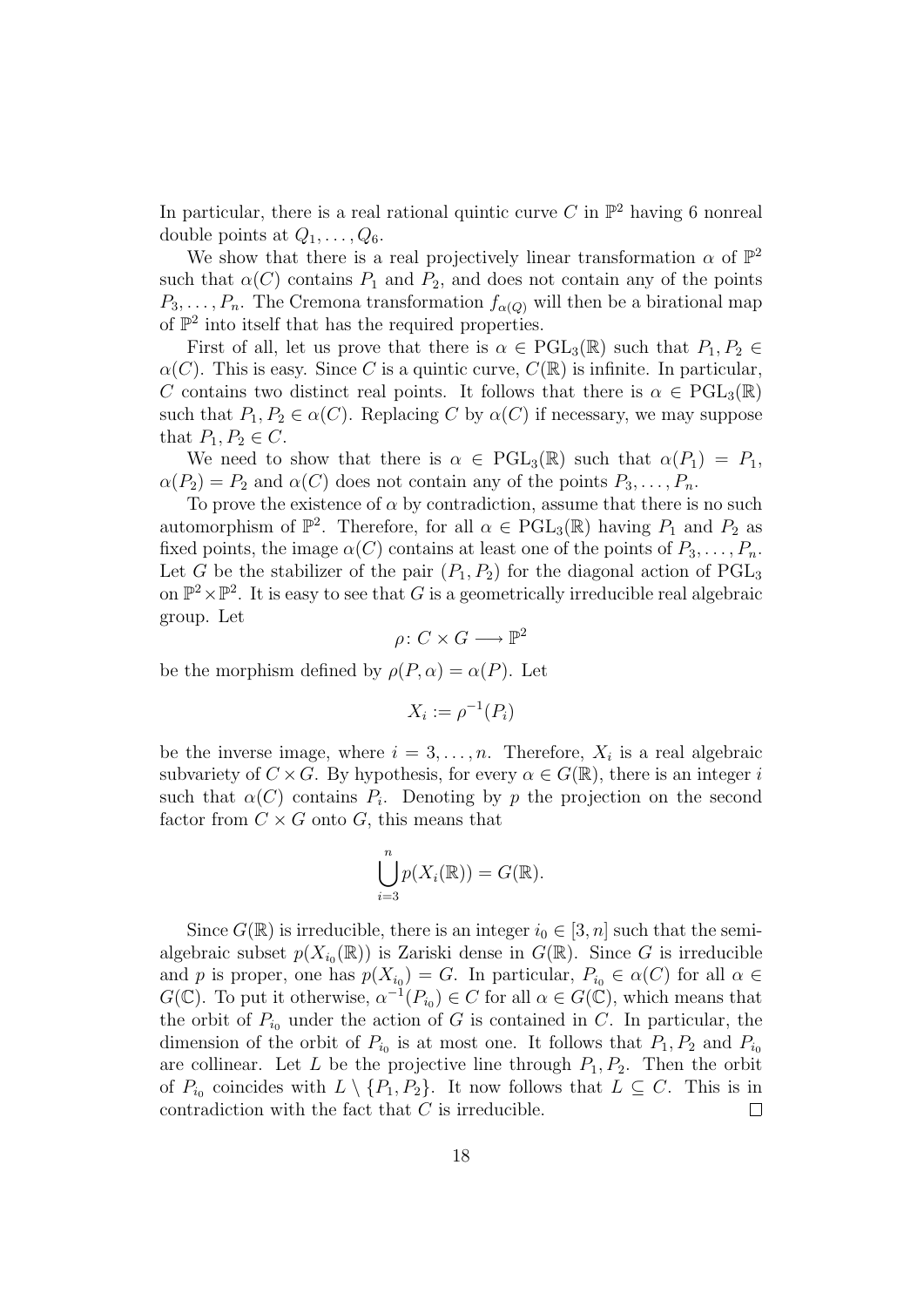In particular, there is a real rational quintic curve C in  $\mathbb{P}^2$  having 6 nonreal double points at  $Q_1, \ldots, Q_6$ .

We show that there is a real projectively linear transformation  $\alpha$  of  $\mathbb{P}^2$ such that  $\alpha(C)$  contains  $P_1$  and  $P_2$ , and does not contain any of the points  $P_3, \ldots, P_n$ . The Cremona transformation  $f_{\alpha(Q)}$  will then be a birational map of  $\mathbb{P}^2$  into itself that has the required properties.

First of all, let us prove that there is  $\alpha \in \text{PGL}_3(\mathbb{R})$  such that  $P_1, P_2 \in$  $\alpha(C)$ . This is easy. Since C is a quintic curve,  $C(\mathbb{R})$  is infinite. In particular, C contains two distinct real points. It follows that there is  $\alpha \in \text{PGL}_3(\mathbb{R})$ such that  $P_1, P_2 \in \alpha(C)$ . Replacing C by  $\alpha(C)$  if necessary, we may suppose that  $P_1, P_2 \in C$ .

We need to show that there is  $\alpha \in \text{PGL}_3(\mathbb{R})$  such that  $\alpha(P_1) = P_1$ ,  $\alpha(P_2) = P_2$  and  $\alpha(C)$  does not contain any of the points  $P_3, \ldots, P_n$ .

To prove the existence of  $\alpha$  by contradiction, assume that there is no such automorphism of  $\mathbb{P}^2$ . Therefore, for all  $\alpha \in \text{PGL}_3(\mathbb{R})$  having  $P_1$  and  $P_2$  as fixed points, the image  $\alpha(C)$  contains at least one of the points of  $P_3, \ldots, P_n$ . Let G be the stabilizer of the pair  $(P_1, P_2)$  for the diagonal action of  $PGL_3$ on  $\mathbb{P}^2 \times \mathbb{P}^2$ . It is easy to see that G is a geometrically irreducible real algebraic group. Let

 $\rho\colon C\times G\longrightarrow \mathbb{P}^2$ 

be the morphism defined by  $\rho(P,\alpha) = \alpha(P)$ . Let

$$
X_i := \rho^{-1}(P_i)
$$

be the inverse image, where  $i = 3, \ldots, n$ . Therefore,  $X_i$  is a real algebraic subvariety of  $C \times G$ . By hypothesis, for every  $\alpha \in G(\mathbb{R})$ , there is an integer i such that  $\alpha(C)$  contains  $P_i$ . Denoting by p the projection on the second factor from  $C \times G$  onto G, this means that

$$
\bigcup_{i=3}^n p(X_i(\mathbb{R})) = G(\mathbb{R}).
$$

Since  $G(\mathbb{R})$  is irreducible, there is an integer  $i_0 \in [3, n]$  such that the semialgebraic subset  $p(X_{i_0}(\mathbb{R}))$  is Zariski dense in  $G(\mathbb{R})$ . Since G is irreducible and p is proper, one has  $p(X_{i_0}) = G$ . In particular,  $P_{i_0} \in \alpha(C)$  for all  $\alpha \in$  $G(\mathbb{C})$ . To put it otherwise,  $\alpha^{-1}(P_{i_0}) \in C$  for all  $\alpha \in G(\mathbb{C})$ , which means that the orbit of  $P_{i_0}$  under the action of G is contained in C. In particular, the dimension of the orbit of  $P_{i_0}$  is at most one. It follows that  $P_1, P_2$  and  $P_{i_0}$ are collinear. Let L be the projective line through  $P_1, P_2$ . Then the orbit of  $P_{i_0}$  coincides with  $L \setminus \{P_1, P_2\}$ . It now follows that  $L \subseteq C$ . This is in contradiction with the fact that C is irreducible.  $\Box$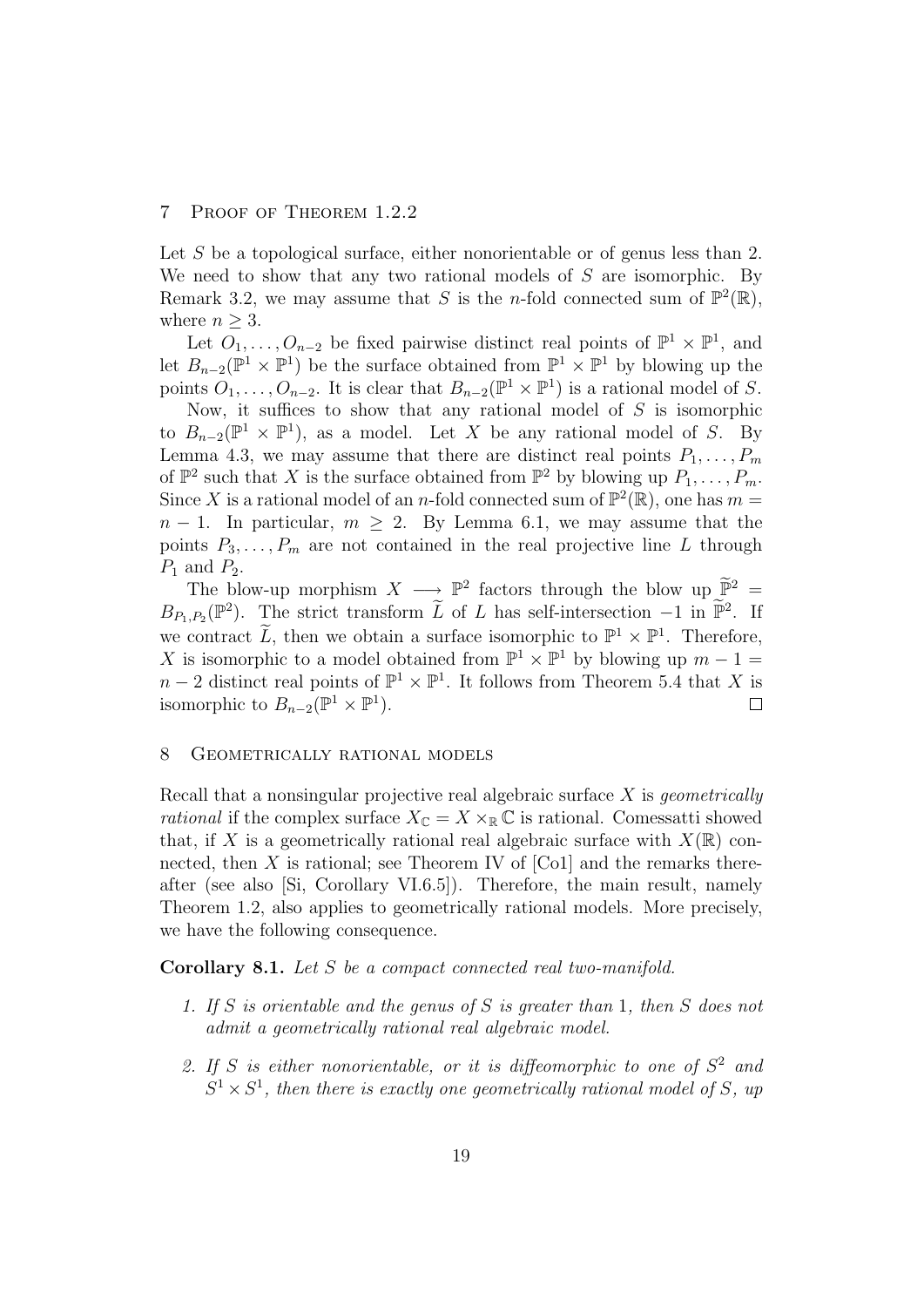# 7 Proof of Theorem 1.2.2

Let S be a topological surface, either nonorientable or of genus less than 2. We need to show that any two rational models of S are isomorphic. By Remark 3.2, we may assume that S is the *n*-fold connected sum of  $\mathbb{P}^2(\mathbb{R})$ , where  $n \geq 3$ .

Let  $O_1, \ldots, O_{n-2}$  be fixed pairwise distinct real points of  $\mathbb{P}^1 \times \mathbb{P}^1$ , and let  $B_{n-2}(\mathbb{P}^1 \times \mathbb{P}^1)$  be the surface obtained from  $\mathbb{P}^1 \times \mathbb{P}^1$  by blowing up the points  $O_1, \ldots, O_{n-2}$ . It is clear that  $B_{n-2}(\mathbb{P}^1 \times \mathbb{P}^1)$  is a rational model of S.

Now, it suffices to show that any rational model of  $S$  is isomorphic to  $B_{n-2}(\mathbb{P}^1 \times \mathbb{P}^1)$ , as a model. Let X be any rational model of S. By Lemma 4.3, we may assume that there are distinct real points  $P_1, \ldots, P_m$ of  $\mathbb{P}^2$  such that X is the surface obtained from  $\mathbb{P}^2$  by blowing up  $P_1, \ldots, P_m$ . Since X is a rational model of an *n*-fold connected sum of  $\mathbb{P}^2(\mathbb{R})$ , one has  $m =$  $n-1$ . In particular,  $m \geq 2$ . By Lemma 6.1, we may assume that the points  $P_3, \ldots, P_m$  are not contained in the real projective line L through  $P_1$  and  $P_2$ .

The blow-up morphism  $X \longrightarrow \mathbb{P}^2$  factors through the blow up  $\widetilde{\mathbb{P}}^2 =$  $B_{P_1,P_2}(\mathbb{P}^2)$ . The strict transform  $\widetilde{L}$  of L has self-intersection  $-1$  in  $\widetilde{\mathbb{P}}^2$ . If we contract  $\widetilde{L}$ , then we obtain a surface isomorphic to  $\mathbb{P}^1 \times \mathbb{P}^1$ . Therefore, X is isomorphic to a model obtained from  $\mathbb{P}^1 \times \mathbb{P}^1$  by blowing up  $m-1=$  $n-2$  distinct real points of  $\mathbb{P}^1 \times \mathbb{P}^1$ . It follows from Theorem 5.4 that X is isomorphic to  $B_{n-2}(\mathbb{P}^1 \times \mathbb{P}^1)$ .  $\Box$ 

## 8 Geometrically rational models

Recall that a nonsingular projective real algebraic surface  $X$  is *geometrically* rational if the complex surface  $X_{\mathbb{C}} = X \times_{\mathbb{R}} \mathbb{C}$  is rational. Comessatti showed that, if X is a geometrically rational real algebraic surface with  $X(\mathbb{R})$  connected, then  $X$  is rational; see Theorem IV of [Co1] and the remarks thereafter (see also [Si, Corollary VI.6.5]). Therefore, the main result, namely Theorem 1.2, also applies to geometrically rational models. More precisely, we have the following consequence.

Corollary 8.1. Let S be a compact connected real two-manifold.

- 1. If S is orientable and the genus of S is greater than 1, then S does not admit a geometrically rational real algebraic model.
- 2. If S is either nonorientable, or it is diffeomorphic to one of  $S^2$  and  $S^1 \times S^1$ , then there is exactly one geometrically rational model of S, up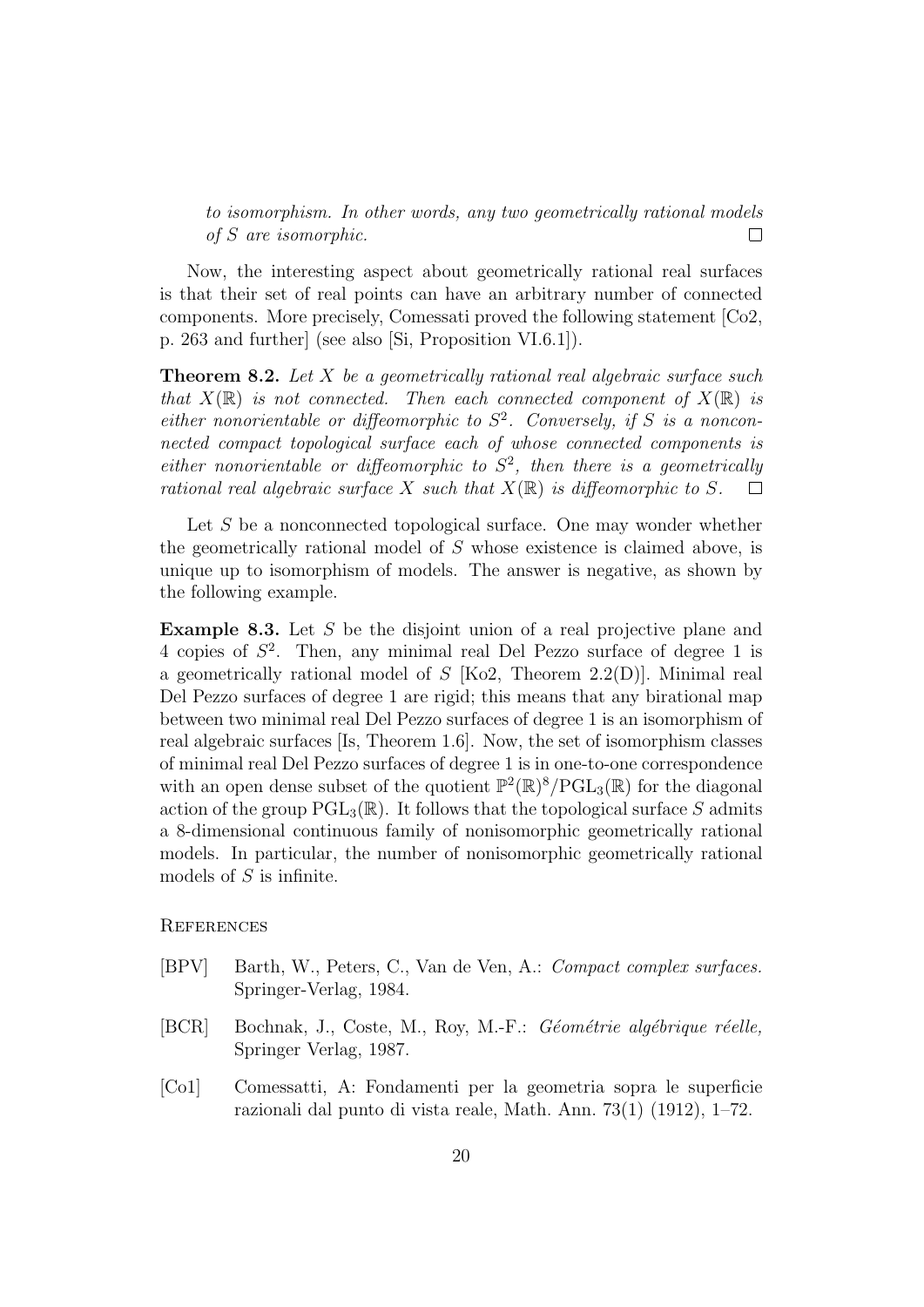to isomorphism. In other words, any two geometrically rational models of S are isomorphic.  $\Box$ 

Now, the interesting aspect about geometrically rational real surfaces is that their set of real points can have an arbitrary number of connected components. More precisely, Comessati proved the following statement [Co2, p. 263 and further] (see also [Si, Proposition VI.6.1]).

**Theorem 8.2.** Let X be a geometrically rational real algebraic surface such that  $X(\mathbb{R})$  is not connected. Then each connected component of  $X(\mathbb{R})$  is either nonorientable or diffeomorphic to  $S^2$ . Conversely, if S is a nonconnected compact topological surface each of whose connected components is either nonorientable or diffeomorphic to  $S^2$ , then there is a geometrically rational real algebraic surface X such that  $X(\mathbb{R})$  is diffeomorphic to S.  $\Box$ 

Let  $S$  be a nonconnected topological surface. One may wonder whether the geometrically rational model of S whose existence is claimed above, is unique up to isomorphism of models. The answer is negative, as shown by the following example.

Example 8.3. Let S be the disjoint union of a real projective plane and 4 copies of  $S^2$ . Then, any minimal real Del Pezzo surface of degree 1 is a geometrically rational model of S [Ko2, Theorem 2.2(D)]. Minimal real Del Pezzo surfaces of degree 1 are rigid; this means that any birational map between two minimal real Del Pezzo surfaces of degree 1 is an isomorphism of real algebraic surfaces [Is, Theorem 1.6]. Now, the set of isomorphism classes of minimal real Del Pezzo surfaces of degree 1 is in one-to-one correspondence with an open dense subset of the quotient  $\mathbb{P}^2(\mathbb{R})^8/\text{PGL}_3(\mathbb{R})$  for the diagonal action of the group  $PGL_3(\mathbb{R})$ . It follows that the topological surface S admits a 8-dimensional continuous family of nonisomorphic geometrically rational models. In particular, the number of nonisomorphic geometrically rational models of S is infinite.

**REFERENCES** 

- [BPV] Barth, W., Peters, C., Van de Ven, A.: Compact complex surfaces. Springer-Verlag, 1984.
- $[BCR]$  Bochnak, J., Coste, M., Roy, M.-F.: *Géométrie algébrique réelle,* Springer Verlag, 1987.
- [Co1] Comessatti, A: Fondamenti per la geometria sopra le superficie razionali dal punto di vista reale, Math. Ann. 73(1) (1912), 1–72.